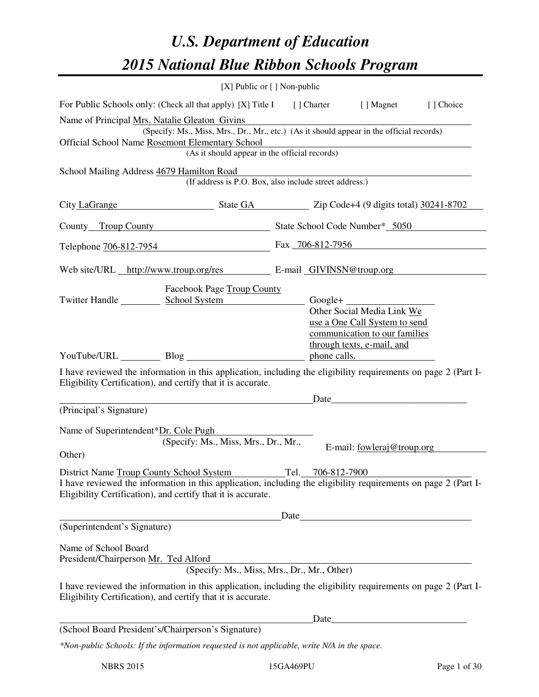# *U.S. Department of Education 2015 National Blue Ribbon Schools Program*

|                                                                                                                                                                                                                                              | $[X]$ Public or $[ \ ]$ Non-public                                                                                                        |  |                                                                                                                                                                                                                                |           |
|----------------------------------------------------------------------------------------------------------------------------------------------------------------------------------------------------------------------------------------------|-------------------------------------------------------------------------------------------------------------------------------------------|--|--------------------------------------------------------------------------------------------------------------------------------------------------------------------------------------------------------------------------------|-----------|
| For Public Schools only: (Check all that apply) [X] Title I [] Charter [] Magnet                                                                                                                                                             |                                                                                                                                           |  |                                                                                                                                                                                                                                | [] Choice |
| Name of Principal Mrs. Natalie Gleaton Givins<br>Official School Name Rosemont Elementary School                                                                                                                                             | (Specify: Ms., Miss, Mrs., Dr., Mr., etc.) (As it should appear in the official records)<br>(As it should appear in the official records) |  |                                                                                                                                                                                                                                |           |
| School Mailing Address 4679 Hamilton Road                                                                                                                                                                                                    | (If address is P.O. Box, also include street address.)                                                                                    |  |                                                                                                                                                                                                                                |           |
| City LaGrange State GA Zip Code+4 (9 digits total) 30241-8702                                                                                                                                                                                |                                                                                                                                           |  |                                                                                                                                                                                                                                |           |
| County Troup County County State School Code Number* 5050                                                                                                                                                                                    |                                                                                                                                           |  |                                                                                                                                                                                                                                |           |
| Telephone 706-812-7954                                                                                                                                                                                                                       |                                                                                                                                           |  | Fax 706-812-7956                                                                                                                                                                                                               |           |
| Web site/URL http://www.troup.org/res E-mail GIVINSN@troup.org                                                                                                                                                                               |                                                                                                                                           |  |                                                                                                                                                                                                                                |           |
| Twitter Handle School System Google+                                                                                                                                                                                                         | Facebook Page Troup County                                                                                                                |  | Other Social Media Link We<br>use a One Call System to send<br>communication to our families                                                                                                                                   |           |
|                                                                                                                                                                                                                                              |                                                                                                                                           |  | through texts, e-mail, and<br>phone calls.                                                                                                                                                                                     |           |
| I have reviewed the information in this application, including the eligibility requirements on page 2 (Part I-<br>Eligibility Certification), and certify that it is accurate.                                                               |                                                                                                                                           |  |                                                                                                                                                                                                                                |           |
| (Principal's Signature)                                                                                                                                                                                                                      |                                                                                                                                           |  | Date                                                                                                                                                                                                                           |           |
| Name of Superintendent*Dr. Cole Pugh<br>Other)                                                                                                                                                                                               | (Specify: Ms., Miss, Mrs., Dr., Mr.,                                                                                                      |  | E-mail: fowleraj@troup.org                                                                                                                                                                                                     |           |
| District Name Troup County School System Tel. 706-812-7900<br>I have reviewed the information in this application, including the eligibility requirements on page 2 (Part I-<br>Eligibility Certification), and certify that it is accurate. |                                                                                                                                           |  |                                                                                                                                                                                                                                |           |
|                                                                                                                                                                                                                                              |                                                                                                                                           |  |                                                                                                                                                                                                                                |           |
| (Superintendent's Signature)                                                                                                                                                                                                                 |                                                                                                                                           |  |                                                                                                                                                                                                                                |           |
| Name of School Board<br>President/Chairperson Mr. Ted Alford                                                                                                                                                                                 | (Specify: Ms., Miss, Mrs., Dr., Mr., Other)                                                                                               |  |                                                                                                                                                                                                                                |           |
| I have reviewed the information in this application, including the eligibility requirements on page 2 (Part I-<br>Eligibility Certification), and certify that it is accurate.                                                               |                                                                                                                                           |  |                                                                                                                                                                                                                                |           |
|                                                                                                                                                                                                                                              |                                                                                                                                           |  | Date and the contract of the contract of the contract of the contract of the contract of the contract of the contract of the contract of the contract of the contract of the contract of the contract of the contract of the c |           |
| (School Board President's/Chairperson's Signature)                                                                                                                                                                                           |                                                                                                                                           |  |                                                                                                                                                                                                                                |           |
| *Non-public Schools: If the information requested is not applicable, write N/A in the space.                                                                                                                                                 |                                                                                                                                           |  |                                                                                                                                                                                                                                |           |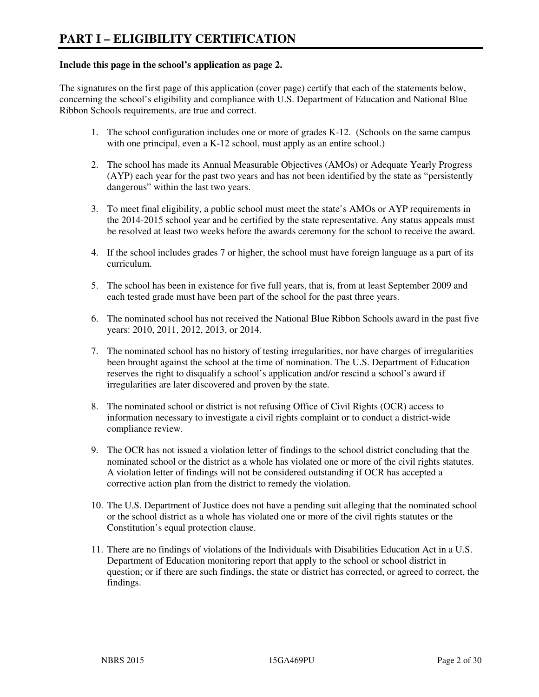#### **Include this page in the school's application as page 2.**

The signatures on the first page of this application (cover page) certify that each of the statements below, concerning the school's eligibility and compliance with U.S. Department of Education and National Blue Ribbon Schools requirements, are true and correct.

- 1. The school configuration includes one or more of grades K-12. (Schools on the same campus with one principal, even a K-12 school, must apply as an entire school.)
- 2. The school has made its Annual Measurable Objectives (AMOs) or Adequate Yearly Progress (AYP) each year for the past two years and has not been identified by the state as "persistently dangerous" within the last two years.
- 3. To meet final eligibility, a public school must meet the state's AMOs or AYP requirements in the 2014-2015 school year and be certified by the state representative. Any status appeals must be resolved at least two weeks before the awards ceremony for the school to receive the award.
- 4. If the school includes grades 7 or higher, the school must have foreign language as a part of its curriculum.
- 5. The school has been in existence for five full years, that is, from at least September 2009 and each tested grade must have been part of the school for the past three years.
- 6. The nominated school has not received the National Blue Ribbon Schools award in the past five years: 2010, 2011, 2012, 2013, or 2014.
- 7. The nominated school has no history of testing irregularities, nor have charges of irregularities been brought against the school at the time of nomination. The U.S. Department of Education reserves the right to disqualify a school's application and/or rescind a school's award if irregularities are later discovered and proven by the state.
- 8. The nominated school or district is not refusing Office of Civil Rights (OCR) access to information necessary to investigate a civil rights complaint or to conduct a district-wide compliance review.
- 9. The OCR has not issued a violation letter of findings to the school district concluding that the nominated school or the district as a whole has violated one or more of the civil rights statutes. A violation letter of findings will not be considered outstanding if OCR has accepted a corrective action plan from the district to remedy the violation.
- 10. The U.S. Department of Justice does not have a pending suit alleging that the nominated school or the school district as a whole has violated one or more of the civil rights statutes or the Constitution's equal protection clause.
- 11. There are no findings of violations of the Individuals with Disabilities Education Act in a U.S. Department of Education monitoring report that apply to the school or school district in question; or if there are such findings, the state or district has corrected, or agreed to correct, the findings.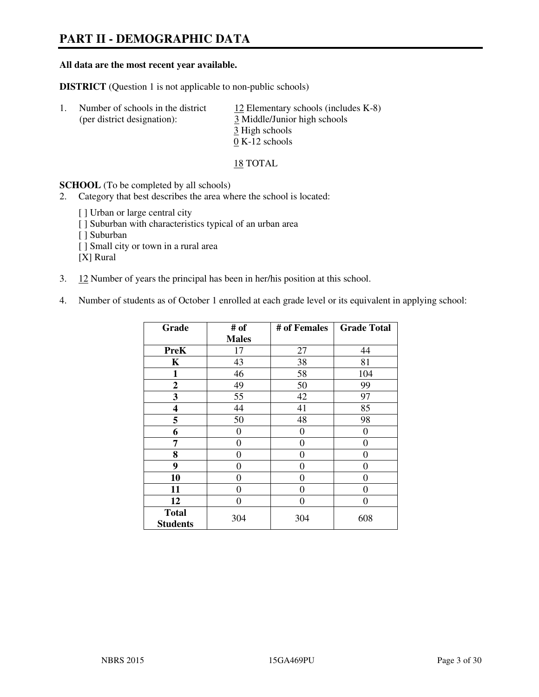# **PART II - DEMOGRAPHIC DATA**

#### **All data are the most recent year available.**

**DISTRICT** (Question 1 is not applicable to non-public schools)

| $\perp$ | Number of schools in the district<br>(per district designation): | 12 Elementary schools (includes $K-8$ )<br>3 Middle/Junior high schools |
|---------|------------------------------------------------------------------|-------------------------------------------------------------------------|
|         |                                                                  | 3 High schools                                                          |
|         |                                                                  | $0 K-12$ schools                                                        |

18 TOTAL

**SCHOOL** (To be completed by all schools)

- 2. Category that best describes the area where the school is located:
	- [ ] Urban or large central city
	- [ ] Suburban with characteristics typical of an urban area
	- [ ] Suburban
	- [ ] Small city or town in a rural area
	- [X] Rural
- 3. 12 Number of years the principal has been in her/his position at this school.
- 4. Number of students as of October 1 enrolled at each grade level or its equivalent in applying school:

| Grade                           | # of         | # of Females   | <b>Grade Total</b> |
|---------------------------------|--------------|----------------|--------------------|
|                                 | <b>Males</b> |                |                    |
| <b>PreK</b>                     | 17           | 27             | 44                 |
| K                               | 43           | 38             | 81                 |
| $\mathbf{1}$                    | 46           | 58             | 104                |
| $\mathbf{2}$                    | 49           | 50             | 99                 |
| 3                               | 55           | 42             | 97                 |
| 4                               | 44           | 41             | 85                 |
| 5                               | 50           | 48             | 98                 |
| 6                               | 0            | 0              | $\theta$           |
| 7                               | 0            | $\overline{0}$ | 0                  |
| 8                               | $\theta$     | 0              | 0                  |
| 9                               | $\theta$     | $\theta$       | 0                  |
| 10                              | 0            | 0              | 0                  |
| 11                              | 0            | 0              | 0                  |
| 12                              | 0            | 0              | 0                  |
| <b>Total</b><br><b>Students</b> | 304          | 304            | 608                |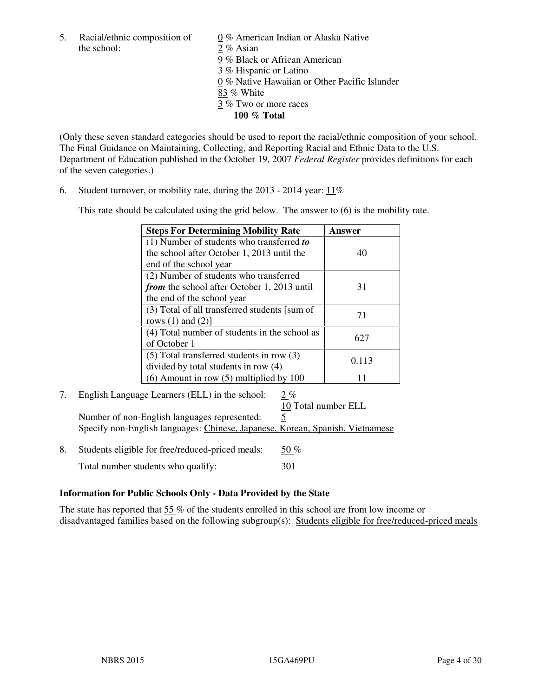5. Racial/ethnic composition of  $0\%$  American Indian or Alaska Native the school: 2 % Asian

 9 % Black or African American 3 % Hispanic or Latino 0 % Native Hawaiian or Other Pacific Islander 83 % White 3 % Two or more races **100 % Total** 

(Only these seven standard categories should be used to report the racial/ethnic composition of your school. The Final Guidance on Maintaining, Collecting, and Reporting Racial and Ethnic Data to the U.S. Department of Education published in the October 19, 2007 *Federal Register* provides definitions for each of the seven categories.)

6. Student turnover, or mobility rate, during the 2013 - 2014 year: 11%

This rate should be calculated using the grid below. The answer to (6) is the mobility rate.

| <b>Steps For Determining Mobility Rate</b>         | Answer |
|----------------------------------------------------|--------|
| $(1)$ Number of students who transferred to        |        |
| the school after October 1, 2013 until the         | 40     |
| end of the school year                             |        |
| (2) Number of students who transferred             |        |
| <i>from</i> the school after October 1, 2013 until | 31     |
| the end of the school year                         |        |
| (3) Total of all transferred students [sum of      | 71     |
| rows $(1)$ and $(2)$ ]                             |        |
| (4) Total number of students in the school as      | 627    |
| of October 1                                       |        |
| $(5)$ Total transferred students in row $(3)$      | 0.113  |
| divided by total students in row (4)               |        |
| $(6)$ Amount in row $(5)$ multiplied by 100        |        |

7. English Language Learners (ELL) in the school: 2 %

10 Total number ELL

Number of non-English languages represented: 5 Specify non-English languages: Chinese, Japanese, Korean, Spanish, Vietnamese

8. Students eligible for free/reduced-priced meals:  $50\%$ Total number students who qualify: 301

#### **Information for Public Schools Only - Data Provided by the State**

The state has reported that  $55\%$  of the students enrolled in this school are from low income or disadvantaged families based on the following subgroup(s): Students eligible for free/reduced-priced meals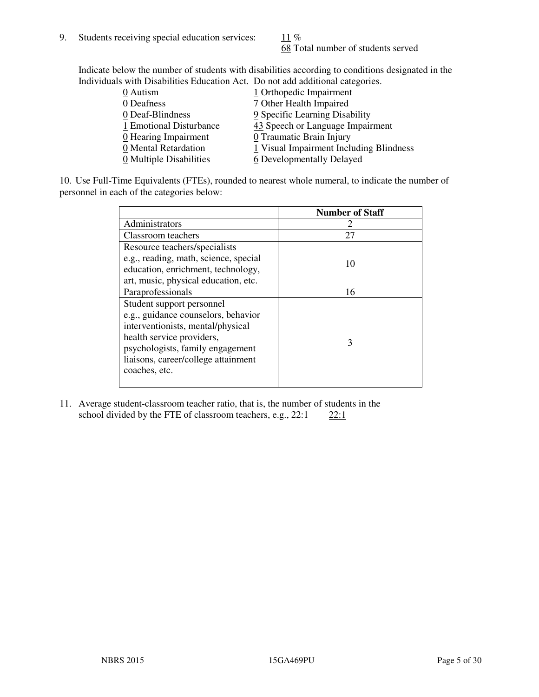68 Total number of students served

Indicate below the number of students with disabilities according to conditions designated in the Individuals with Disabilities Education Act. Do not add additional categories.

| THE LEW CONSTRUCTION OF THE CONSTRUCTION OF THE CONSTRUCTION OF A LOCAL CONSTRUCTION OF A CONSTRUCTION OF THE CONSTRUCTION OF THE CONSTRUCTION OF THE CONSTRUCTION OF THE CONSTRUCTION OF THE CONSTRUCTION OF THE CONSTRUCTIO |                                         |
|-------------------------------------------------------------------------------------------------------------------------------------------------------------------------------------------------------------------------------|-----------------------------------------|
| 0 Autism                                                                                                                                                                                                                      | 1 Orthopedic Impairment                 |
| 0 Deafness                                                                                                                                                                                                                    | 7 Other Health Impaired                 |
| 0 Deaf-Blindness                                                                                                                                                                                                              | 9 Specific Learning Disability          |
| 1 Emotional Disturbance                                                                                                                                                                                                       | 43 Speech or Language Impairment        |
| $\underline{0}$ Hearing Impairment                                                                                                                                                                                            | 0 Traumatic Brain Injury                |
| 0 Mental Retardation                                                                                                                                                                                                          | 1 Visual Impairment Including Blindness |
| 0 Multiple Disabilities                                                                                                                                                                                                       | 6 Developmentally Delayed               |
|                                                                                                                                                                                                                               |                                         |

10. Use Full-Time Equivalents (FTEs), rounded to nearest whole numeral, to indicate the number of personnel in each of the categories below:

|                                       | <b>Number of Staff</b> |
|---------------------------------------|------------------------|
| Administrators                        |                        |
| Classroom teachers                    | 27                     |
| Resource teachers/specialists         |                        |
| e.g., reading, math, science, special | 10                     |
| education, enrichment, technology,    |                        |
| art, music, physical education, etc.  |                        |
| Paraprofessionals                     | 16                     |
| Student support personnel             |                        |
| e.g., guidance counselors, behavior   |                        |
| interventionists, mental/physical     |                        |
| health service providers,             | 3                      |
| psychologists, family engagement      |                        |
| liaisons, career/college attainment   |                        |
| coaches, etc.                         |                        |
|                                       |                        |

11. Average student-classroom teacher ratio, that is, the number of students in the school divided by the FTE of classroom teachers, e.g.,  $22:1$   $22:1$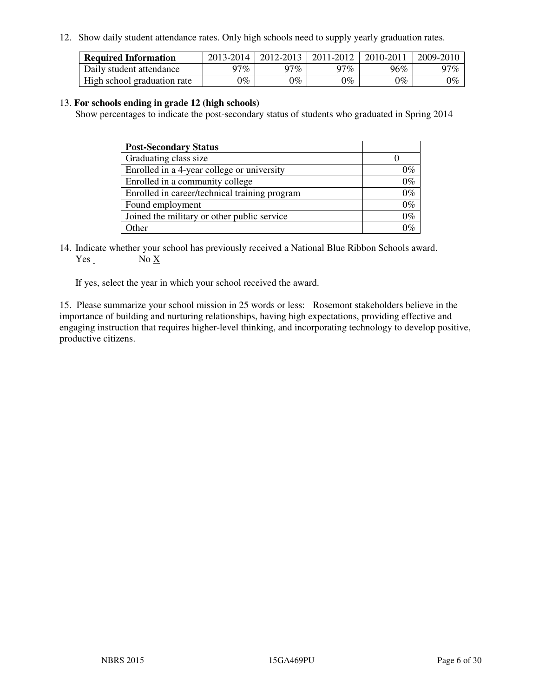12. Show daily student attendance rates. Only high schools need to supply yearly graduation rates.

| <b>Required Information</b> | 2013-2014     | 2012-2013       | 2011-2012 | 2010-2011 | 2009-2010 |
|-----------------------------|---------------|-----------------|-----------|-----------|-----------|
| Daily student attendance    | 97%           | 97%             | $77\%$    | 96%       | 97%       |
| High school graduation rate | $\gamma_{\%}$ | $\mathcal{V}_o$ | $0\%$     | 0%        | 0%        |

#### 13. **For schools ending in grade 12 (high schools)**

Show percentages to indicate the post-secondary status of students who graduated in Spring 2014

| <b>Post-Secondary Status</b>                  |       |
|-----------------------------------------------|-------|
| Graduating class size                         |       |
| Enrolled in a 4-year college or university    | በ‰    |
| Enrolled in a community college               | $0\%$ |
| Enrolled in career/technical training program | $0\%$ |
| Found employment                              | $0\%$ |
| Joined the military or other public service   | 0%    |
| Other                                         |       |

14. Indicate whether your school has previously received a National Blue Ribbon Schools award. Yes No X

If yes, select the year in which your school received the award.

15. Please summarize your school mission in 25 words or less: Rosemont stakeholders believe in the importance of building and nurturing relationships, having high expectations, providing effective and engaging instruction that requires higher-level thinking, and incorporating technology to develop positive, productive citizens.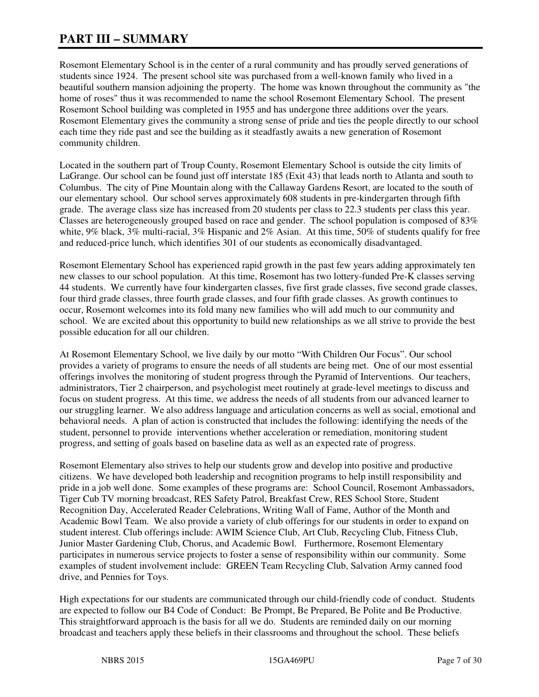# **PART III – SUMMARY**

Rosemont Elementary School is in the center of a rural community and has proudly served generations of students since 1924. The present school site was purchased from a well-known family who lived in a beautiful southern mansion adjoining the property. The home was known throughout the community as "the home of roses" thus it was recommended to name the school Rosemont Elementary School. The present Rosemont School building was completed in 1955 and has undergone three additions over the years. Rosemont Elementary gives the community a strong sense of pride and ties the people directly to our school each time they ride past and see the building as it steadfastly awaits a new generation of Rosemont community children.

Located in the southern part of Troup County, Rosemont Elementary School is outside the city limits of LaGrange. Our school can be found just off interstate 185 (Exit 43) that leads north to Atlanta and south to Columbus. The city of Pine Mountain along with the Callaway Gardens Resort, are located to the south of our elementary school. Our school serves approximately 608 students in pre-kindergarten through fifth grade. The average class size has increased from 20 students per class to 22.3 students per class this year. Classes are heterogeneously grouped based on race and gender. The school population is composed of 83% white, 9% black, 3% multi-racial, 3% Hispanic and 2% Asian. At this time, 50% of students qualify for free and reduced-price lunch, which identifies 301 of our students as economically disadvantaged.

Rosemont Elementary School has experienced rapid growth in the past few years adding approximately ten new classes to our school population. At this time, Rosemont has two lottery-funded Pre-K classes serving 44 students. We currently have four kindergarten classes, five first grade classes, five second grade classes, four third grade classes, three fourth grade classes, and four fifth grade classes. As growth continues to occur, Rosemont welcomes into its fold many new families who will add much to our community and school. We are excited about this opportunity to build new relationships as we all strive to provide the best possible education for all our children.

At Rosemont Elementary School, we live daily by our motto "With Children Our Focus". Our school provides a variety of programs to ensure the needs of all students are being met. One of our most essential offerings involves the monitoring of student progress through the Pyramid of Interventions. Our teachers, administrators, Tier 2 chairperson, and psychologist meet routinely at grade-level meetings to discuss and focus on student progress. At this time, we address the needs of all students from our advanced learner to our struggling learner. We also address language and articulation concerns as well as social, emotional and behavioral needs. A plan of action is constructed that includes the following: identifying the needs of the student, personnel to provide interventions whether acceleration or remediation, monitoring student progress, and setting of goals based on baseline data as well as an expected rate of progress.

Rosemont Elementary also strives to help our students grow and develop into positive and productive citizens. We have developed both leadership and recognition programs to help instill responsibility and pride in a job well done. Some examples of these programs are: School Council, Rosemont Ambassadors, Tiger Cub TV morning broadcast, RES Safety Patrol, Breakfast Crew, RES School Store, Student Recognition Day, Accelerated Reader Celebrations, Writing Wall of Fame, Author of the Month and Academic Bowl Team. We also provide a variety of club offerings for our students in order to expand on student interest. Club offerings include: AWIM Science Club, Art Club, Recycling Club, Fitness Club, Junior Master Gardening Club, Chorus, and Academic Bowl. Furthermore, Rosemont Elementary participates in numerous service projects to foster a sense of responsibility within our community. Some examples of student involvement include: GREEN Team Recycling Club, Salvation Army canned food drive, and Pennies for Toys.

High expectations for our students are communicated through our child-friendly code of conduct. Students are expected to follow our B4 Code of Conduct: Be Prompt, Be Prepared, Be Polite and Be Productive. This straightforward approach is the basis for all we do. Students are reminded daily on our morning broadcast and teachers apply these beliefs in their classrooms and throughout the school. These beliefs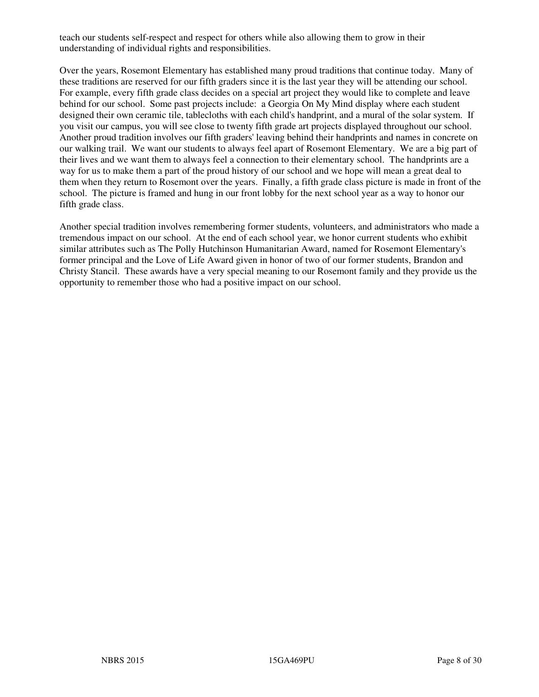teach our students self-respect and respect for others while also allowing them to grow in their understanding of individual rights and responsibilities.

Over the years, Rosemont Elementary has established many proud traditions that continue today. Many of these traditions are reserved for our fifth graders since it is the last year they will be attending our school. For example, every fifth grade class decides on a special art project they would like to complete and leave behind for our school. Some past projects include: a Georgia On My Mind display where each student designed their own ceramic tile, tablecloths with each child's handprint, and a mural of the solar system. If you visit our campus, you will see close to twenty fifth grade art projects displayed throughout our school. Another proud tradition involves our fifth graders' leaving behind their handprints and names in concrete on our walking trail. We want our students to always feel apart of Rosemont Elementary. We are a big part of their lives and we want them to always feel a connection to their elementary school. The handprints are a way for us to make them a part of the proud history of our school and we hope will mean a great deal to them when they return to Rosemont over the years. Finally, a fifth grade class picture is made in front of the school. The picture is framed and hung in our front lobby for the next school year as a way to honor our fifth grade class.

Another special tradition involves remembering former students, volunteers, and administrators who made a tremendous impact on our school. At the end of each school year, we honor current students who exhibit similar attributes such as The Polly Hutchinson Humanitarian Award, named for Rosemont Elementary's former principal and the Love of Life Award given in honor of two of our former students, Brandon and Christy Stancil. These awards have a very special meaning to our Rosemont family and they provide us the opportunity to remember those who had a positive impact on our school.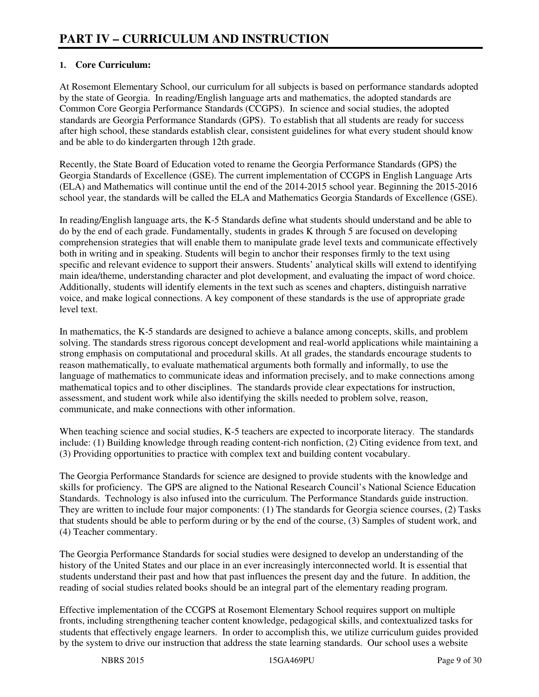# **1. Core Curriculum:**

At Rosemont Elementary School, our curriculum for all subjects is based on performance standards adopted by the state of Georgia. In reading/English language arts and mathematics, the adopted standards are Common Core Georgia Performance Standards (CCGPS). In science and social studies, the adopted standards are Georgia Performance Standards (GPS). To establish that all students are ready for success after high school, these standards establish clear, consistent guidelines for what every student should know and be able to do kindergarten through 12th grade.

Recently, the State Board of Education voted to rename the Georgia Performance Standards (GPS) the Georgia Standards of Excellence (GSE). The current implementation of CCGPS in English Language Arts (ELA) and Mathematics will continue until the end of the 2014-2015 school year. Beginning the 2015-2016 school year, the standards will be called the ELA and Mathematics Georgia Standards of Excellence (GSE).

In reading/English language arts, the K-5 Standards define what students should understand and be able to do by the end of each grade. Fundamentally, students in grades K through 5 are focused on developing comprehension strategies that will enable them to manipulate grade level texts and communicate effectively both in writing and in speaking. Students will begin to anchor their responses firmly to the text using specific and relevant evidence to support their answers. Students' analytical skills will extend to identifying main idea/theme, understanding character and plot development, and evaluating the impact of word choice. Additionally, students will identify elements in the text such as scenes and chapters, distinguish narrative voice, and make logical connections. A key component of these standards is the use of appropriate grade level text.

In mathematics, the K-5 standards are designed to achieve a balance among concepts, skills, and problem solving. The standards stress rigorous concept development and real-world applications while maintaining a strong emphasis on computational and procedural skills. At all grades, the standards encourage students to reason mathematically, to evaluate mathematical arguments both formally and informally, to use the language of mathematics to communicate ideas and information precisely, and to make connections among mathematical topics and to other disciplines. The standards provide clear expectations for instruction, assessment, and student work while also identifying the skills needed to problem solve, reason, communicate, and make connections with other information.

When teaching science and social studies, K-5 teachers are expected to incorporate literacy. The standards include: (1) Building knowledge through reading content-rich nonfiction, (2) Citing evidence from text, and (3) Providing opportunities to practice with complex text and building content vocabulary.

The Georgia Performance Standards for science are designed to provide students with the knowledge and skills for proficiency. The GPS are aligned to the National Research Council's National Science Education Standards. Technology is also infused into the curriculum. The Performance Standards guide instruction. They are written to include four major components: (1) The standards for Georgia science courses, (2) Tasks that students should be able to perform during or by the end of the course, (3) Samples of student work, and (4) Teacher commentary.

The Georgia Performance Standards for social studies were designed to develop an understanding of the history of the United States and our place in an ever increasingly interconnected world. It is essential that students understand their past and how that past influences the present day and the future. In addition, the reading of social studies related books should be an integral part of the elementary reading program.

Effective implementation of the CCGPS at Rosemont Elementary School requires support on multiple fronts, including strengthening teacher content knowledge, pedagogical skills, and contextualized tasks for students that effectively engage learners. In order to accomplish this, we utilize curriculum guides provided by the system to drive our instruction that address the state learning standards. Our school uses a website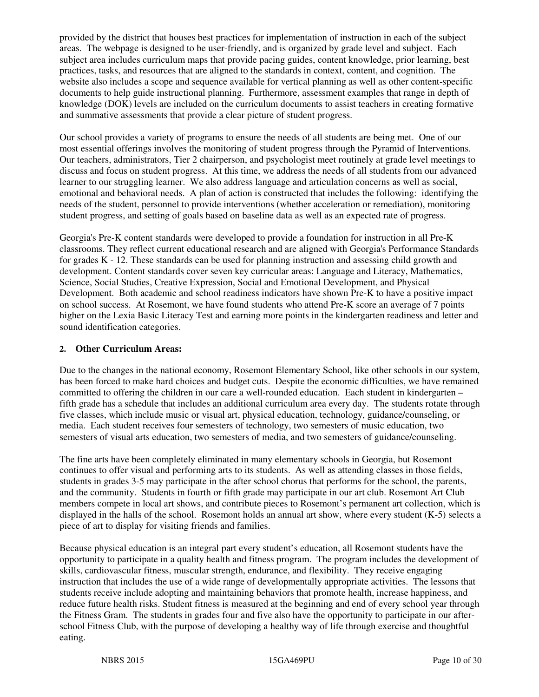provided by the district that houses best practices for implementation of instruction in each of the subject areas. The webpage is designed to be user-friendly, and is organized by grade level and subject. Each subject area includes curriculum maps that provide pacing guides, content knowledge, prior learning, best practices, tasks, and resources that are aligned to the standards in context, content, and cognition. The website also includes a scope and sequence available for vertical planning as well as other content-specific documents to help guide instructional planning. Furthermore, assessment examples that range in depth of knowledge (DOK) levels are included on the curriculum documents to assist teachers in creating formative and summative assessments that provide a clear picture of student progress.

Our school provides a variety of programs to ensure the needs of all students are being met. One of our most essential offerings involves the monitoring of student progress through the Pyramid of Interventions. Our teachers, administrators, Tier 2 chairperson, and psychologist meet routinely at grade level meetings to discuss and focus on student progress. At this time, we address the needs of all students from our advanced learner to our struggling learner. We also address language and articulation concerns as well as social, emotional and behavioral needs. A plan of action is constructed that includes the following: identifying the needs of the student, personnel to provide interventions (whether acceleration or remediation), monitoring student progress, and setting of goals based on baseline data as well as an expected rate of progress.

Georgia's Pre-K content standards were developed to provide a foundation for instruction in all Pre-K classrooms. They reflect current educational research and are aligned with Georgia's Performance Standards for grades K - 12. These standards can be used for planning instruction and assessing child growth and development. Content standards cover seven key curricular areas: Language and Literacy, Mathematics, Science, Social Studies, Creative Expression, Social and Emotional Development, and Physical Development. Both academic and school readiness indicators have shown Pre-K to have a positive impact on school success. At Rosemont, we have found students who attend Pre-K score an average of 7 points higher on the Lexia Basic Literacy Test and earning more points in the kindergarten readiness and letter and sound identification categories.

#### **2. Other Curriculum Areas:**

Due to the changes in the national economy, Rosemont Elementary School, like other schools in our system, has been forced to make hard choices and budget cuts. Despite the economic difficulties, we have remained committed to offering the children in our care a well-rounded education. Each student in kindergarten – fifth grade has a schedule that includes an additional curriculum area every day. The students rotate through five classes, which include music or visual art, physical education, technology, guidance/counseling, or media. Each student receives four semesters of technology, two semesters of music education, two semesters of visual arts education, two semesters of media, and two semesters of guidance/counseling.

The fine arts have been completely eliminated in many elementary schools in Georgia, but Rosemont continues to offer visual and performing arts to its students. As well as attending classes in those fields, students in grades 3-5 may participate in the after school chorus that performs for the school, the parents, and the community. Students in fourth or fifth grade may participate in our art club. Rosemont Art Club members compete in local art shows, and contribute pieces to Rosemont's permanent art collection, which is displayed in the halls of the school. Rosemont holds an annual art show, where every student (K-5) selects a piece of art to display for visiting friends and families.

Because physical education is an integral part every student's education, all Rosemont students have the opportunity to participate in a quality health and fitness program. The program includes the development of skills, cardiovascular fitness, muscular strength, endurance, and flexibility. They receive engaging instruction that includes the use of a wide range of developmentally appropriate activities. The lessons that students receive include adopting and maintaining behaviors that promote health, increase happiness, and reduce future health risks. Student fitness is measured at the beginning and end of every school year through the Fitness Gram. The students in grades four and five also have the opportunity to participate in our afterschool Fitness Club, with the purpose of developing a healthy way of life through exercise and thoughtful eating.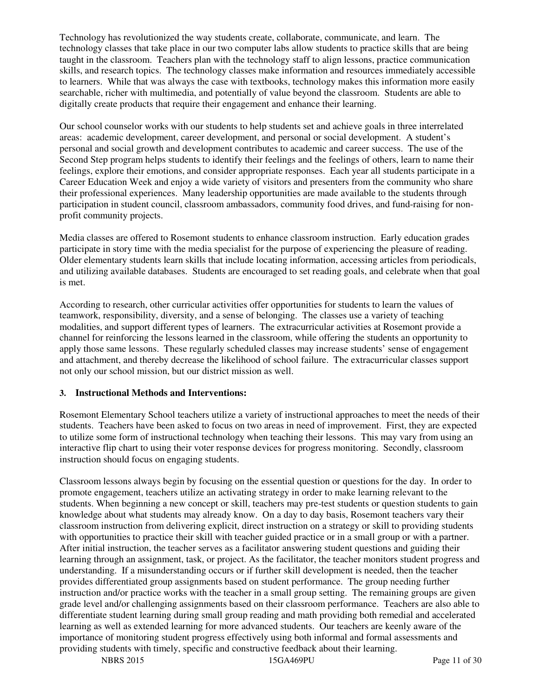Technology has revolutionized the way students create, collaborate, communicate, and learn. The technology classes that take place in our two computer labs allow students to practice skills that are being taught in the classroom. Teachers plan with the technology staff to align lessons, practice communication skills, and research topics. The technology classes make information and resources immediately accessible to learners. While that was always the case with textbooks, technology makes this information more easily searchable, richer with multimedia, and potentially of value beyond the classroom. Students are able to digitally create products that require their engagement and enhance their learning.

Our school counselor works with our students to help students set and achieve goals in three interrelated areas: academic development, career development, and personal or social development. A student's personal and social growth and development contributes to academic and career success. The use of the Second Step program helps students to identify their feelings and the feelings of others, learn to name their feelings, explore their emotions, and consider appropriate responses. Each year all students participate in a Career Education Week and enjoy a wide variety of visitors and presenters from the community who share their professional experiences. Many leadership opportunities are made available to the students through participation in student council, classroom ambassadors, community food drives, and fund-raising for nonprofit community projects.

Media classes are offered to Rosemont students to enhance classroom instruction. Early education grades participate in story time with the media specialist for the purpose of experiencing the pleasure of reading. Older elementary students learn skills that include locating information, accessing articles from periodicals, and utilizing available databases. Students are encouraged to set reading goals, and celebrate when that goal is met.

According to research, other curricular activities offer opportunities for students to learn the values of teamwork, responsibility, diversity, and a sense of belonging. The classes use a variety of teaching modalities, and support different types of learners. The extracurricular activities at Rosemont provide a channel for reinforcing the lessons learned in the classroom, while offering the students an opportunity to apply those same lessons. These regularly scheduled classes may increase students' sense of engagement and attachment, and thereby decrease the likelihood of school failure. The extracurricular classes support not only our school mission, but our district mission as well.

#### **3. Instructional Methods and Interventions:**

Rosemont Elementary School teachers utilize a variety of instructional approaches to meet the needs of their students. Teachers have been asked to focus on two areas in need of improvement. First, they are expected to utilize some form of instructional technology when teaching their lessons. This may vary from using an interactive flip chart to using their voter response devices for progress monitoring. Secondly, classroom instruction should focus on engaging students.

Classroom lessons always begin by focusing on the essential question or questions for the day. In order to promote engagement, teachers utilize an activating strategy in order to make learning relevant to the students. When beginning a new concept or skill, teachers may pre-test students or question students to gain knowledge about what students may already know. On a day to day basis, Rosemont teachers vary their classroom instruction from delivering explicit, direct instruction on a strategy or skill to providing students with opportunities to practice their skill with teacher guided practice or in a small group or with a partner. After initial instruction, the teacher serves as a facilitator answering student questions and guiding their learning through an assignment, task, or project. As the facilitator, the teacher monitors student progress and understanding. If a misunderstanding occurs or if further skill development is needed, then the teacher provides differentiated group assignments based on student performance. The group needing further instruction and/or practice works with the teacher in a small group setting. The remaining groups are given grade level and/or challenging assignments based on their classroom performance. Teachers are also able to differentiate student learning during small group reading and math providing both remedial and accelerated learning as well as extended learning for more advanced students. Our teachers are keenly aware of the importance of monitoring student progress effectively using both informal and formal assessments and providing students with timely, specific and constructive feedback about their learning.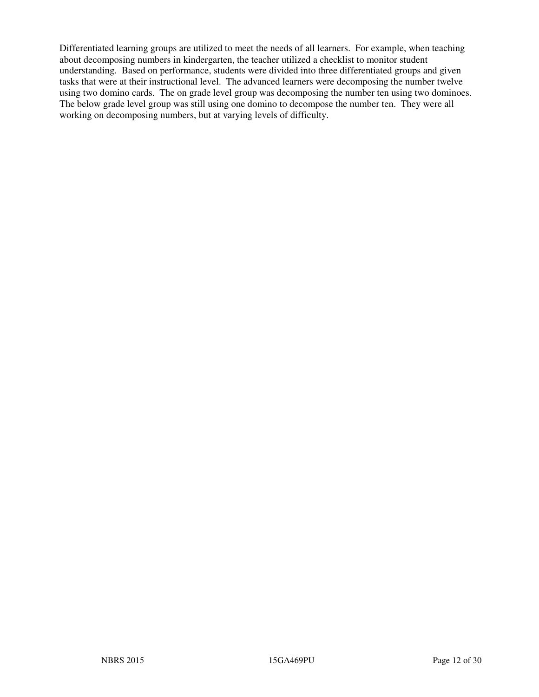Differentiated learning groups are utilized to meet the needs of all learners. For example, when teaching about decomposing numbers in kindergarten, the teacher utilized a checklist to monitor student understanding. Based on performance, students were divided into three differentiated groups and given tasks that were at their instructional level. The advanced learners were decomposing the number twelve using two domino cards. The on grade level group was decomposing the number ten using two dominoes. The below grade level group was still using one domino to decompose the number ten. They were all working on decomposing numbers, but at varying levels of difficulty.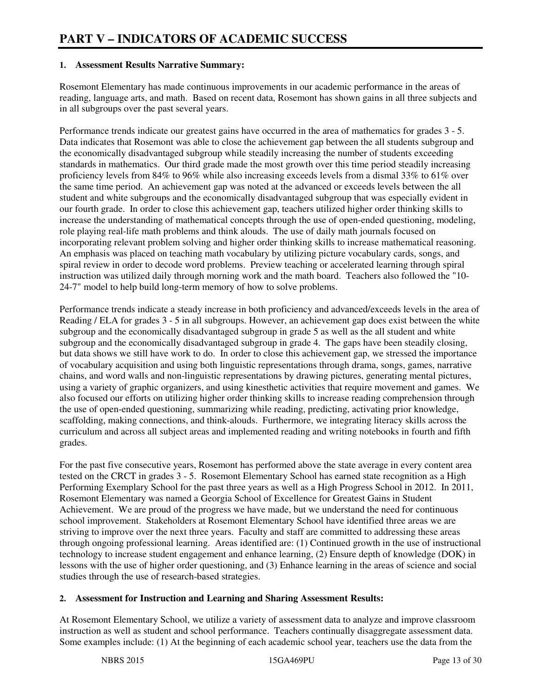#### **1. Assessment Results Narrative Summary:**

Rosemont Elementary has made continuous improvements in our academic performance in the areas of reading, language arts, and math. Based on recent data, Rosemont has shown gains in all three subjects and in all subgroups over the past several years.

Performance trends indicate our greatest gains have occurred in the area of mathematics for grades 3 - 5. Data indicates that Rosemont was able to close the achievement gap between the all students subgroup and the economically disadvantaged subgroup while steadily increasing the number of students exceeding standards in mathematics. Our third grade made the most growth over this time period steadily increasing proficiency levels from 84% to 96% while also increasing exceeds levels from a dismal 33% to 61% over the same time period. An achievement gap was noted at the advanced or exceeds levels between the all student and white subgroups and the economically disadvantaged subgroup that was especially evident in our fourth grade. In order to close this achievement gap, teachers utilized higher order thinking skills to increase the understanding of mathematical concepts through the use of open-ended questioning, modeling, role playing real-life math problems and think alouds. The use of daily math journals focused on incorporating relevant problem solving and higher order thinking skills to increase mathematical reasoning. An emphasis was placed on teaching math vocabulary by utilizing picture vocabulary cards, songs, and spiral review in order to decode word problems. Preview teaching or accelerated learning through spiral instruction was utilized daily through morning work and the math board. Teachers also followed the "10- 24-7" model to help build long-term memory of how to solve problems.

Performance trends indicate a steady increase in both proficiency and advanced/exceeds levels in the area of Reading / ELA for grades 3 - 5 in all subgroups. However, an achievement gap does exist between the white subgroup and the economically disadvantaged subgroup in grade 5 as well as the all student and white subgroup and the economically disadvantaged subgroup in grade 4. The gaps have been steadily closing, but data shows we still have work to do. In order to close this achievement gap, we stressed the importance of vocabulary acquisition and using both linguistic representations through drama, songs, games, narrative chains, and word walls and non-linguistic representations by drawing pictures, generating mental pictures, using a variety of graphic organizers, and using kinesthetic activities that require movement and games. We also focused our efforts on utilizing higher order thinking skills to increase reading comprehension through the use of open-ended questioning, summarizing while reading, predicting, activating prior knowledge, scaffolding, making connections, and think-alouds. Furthermore, we integrating literacy skills across the curriculum and across all subject areas and implemented reading and writing notebooks in fourth and fifth grades.

For the past five consecutive years, Rosemont has performed above the state average in every content area tested on the CRCT in grades 3 - 5. Rosemont Elementary School has earned state recognition as a High Performing Exemplary School for the past three years as well as a High Progress School in 2012. In 2011, Rosemont Elementary was named a Georgia School of Excellence for Greatest Gains in Student Achievement. We are proud of the progress we have made, but we understand the need for continuous school improvement. Stakeholders at Rosemont Elementary School have identified three areas we are striving to improve over the next three years. Faculty and staff are committed to addressing these areas through ongoing professional learning. Areas identified are: (1) Continued growth in the use of instructional technology to increase student engagement and enhance learning, (2) Ensure depth of knowledge (DOK) in lessons with the use of higher order questioning, and (3) Enhance learning in the areas of science and social studies through the use of research-based strategies.

#### **2. Assessment for Instruction and Learning and Sharing Assessment Results:**

At Rosemont Elementary School, we utilize a variety of assessment data to analyze and improve classroom instruction as well as student and school performance. Teachers continually disaggregate assessment data. Some examples include: (1) At the beginning of each academic school year, teachers use the data from the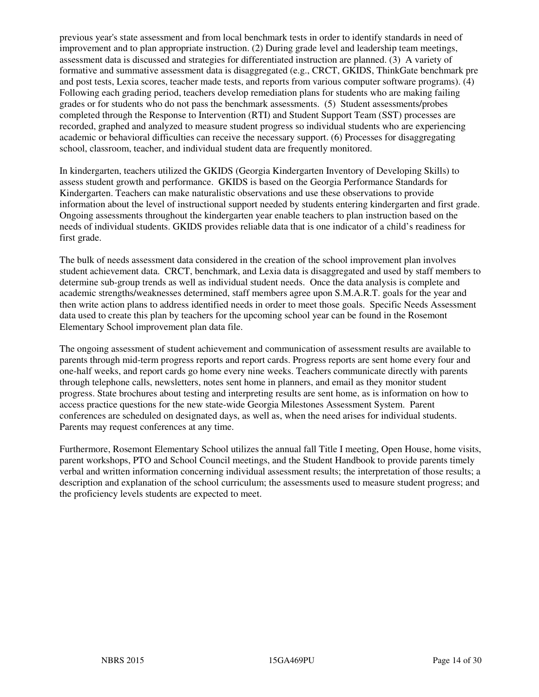previous year's state assessment and from local benchmark tests in order to identify standards in need of improvement and to plan appropriate instruction. (2) During grade level and leadership team meetings, assessment data is discussed and strategies for differentiated instruction are planned. (3) A variety of formative and summative assessment data is disaggregated (e.g., CRCT, GKIDS, ThinkGate benchmark pre and post tests, Lexia scores, teacher made tests, and reports from various computer software programs). (4) Following each grading period, teachers develop remediation plans for students who are making failing grades or for students who do not pass the benchmark assessments. (5) Student assessments/probes completed through the Response to Intervention (RTI) and Student Support Team (SST) processes are recorded, graphed and analyzed to measure student progress so individual students who are experiencing academic or behavioral difficulties can receive the necessary support. (6) Processes for disaggregating school, classroom, teacher, and individual student data are frequently monitored.

In kindergarten, teachers utilized the GKIDS (Georgia Kindergarten Inventory of Developing Skills) to assess student growth and performance. GKIDS is based on the Georgia Performance Standards for Kindergarten. Teachers can make naturalistic observations and use these observations to provide information about the level of instructional support needed by students entering kindergarten and first grade. Ongoing assessments throughout the kindergarten year enable teachers to plan instruction based on the needs of individual students. GKIDS provides reliable data that is one indicator of a child's readiness for first grade.

The bulk of needs assessment data considered in the creation of the school improvement plan involves student achievement data. CRCT, benchmark, and Lexia data is disaggregated and used by staff members to determine sub-group trends as well as individual student needs. Once the data analysis is complete and academic strengths/weaknesses determined, staff members agree upon S.M.A.R.T. goals for the year and then write action plans to address identified needs in order to meet those goals. Specific Needs Assessment data used to create this plan by teachers for the upcoming school year can be found in the Rosemont Elementary School improvement plan data file.

The ongoing assessment of student achievement and communication of assessment results are available to parents through mid-term progress reports and report cards. Progress reports are sent home every four and one-half weeks, and report cards go home every nine weeks. Teachers communicate directly with parents through telephone calls, newsletters, notes sent home in planners, and email as they monitor student progress. State brochures about testing and interpreting results are sent home, as is information on how to access practice questions for the new state-wide Georgia Milestones Assessment System. Parent conferences are scheduled on designated days, as well as, when the need arises for individual students. Parents may request conferences at any time.

Furthermore, Rosemont Elementary School utilizes the annual fall Title I meeting, Open House, home visits, parent workshops, PTO and School Council meetings, and the Student Handbook to provide parents timely verbal and written information concerning individual assessment results; the interpretation of those results; a description and explanation of the school curriculum; the assessments used to measure student progress; and the proficiency levels students are expected to meet.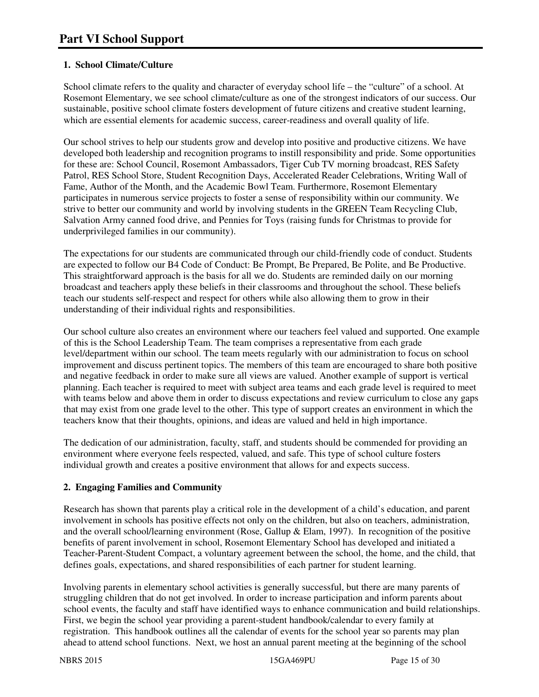#### **1. School Climate/Culture**

School climate refers to the quality and character of everyday school life – the "culture" of a school. At Rosemont Elementary, we see school climate/culture as one of the strongest indicators of our success. Our sustainable, positive school climate fosters development of future citizens and creative student learning, which are essential elements for academic success, career-readiness and overall quality of life.

Our school strives to help our students grow and develop into positive and productive citizens. We have developed both leadership and recognition programs to instill responsibility and pride. Some opportunities for these are: School Council, Rosemont Ambassadors, Tiger Cub TV morning broadcast, RES Safety Patrol, RES School Store, Student Recognition Days, Accelerated Reader Celebrations, Writing Wall of Fame, Author of the Month, and the Academic Bowl Team. Furthermore, Rosemont Elementary participates in numerous service projects to foster a sense of responsibility within our community. We strive to better our community and world by involving students in the GREEN Team Recycling Club, Salvation Army canned food drive, and Pennies for Toys (raising funds for Christmas to provide for underprivileged families in our community).

The expectations for our students are communicated through our child-friendly code of conduct. Students are expected to follow our B4 Code of Conduct: Be Prompt, Be Prepared, Be Polite, and Be Productive. This straightforward approach is the basis for all we do. Students are reminded daily on our morning broadcast and teachers apply these beliefs in their classrooms and throughout the school. These beliefs teach our students self-respect and respect for others while also allowing them to grow in their understanding of their individual rights and responsibilities.

Our school culture also creates an environment where our teachers feel valued and supported. One example of this is the School Leadership Team. The team comprises a representative from each grade level/department within our school. The team meets regularly with our administration to focus on school improvement and discuss pertinent topics. The members of this team are encouraged to share both positive and negative feedback in order to make sure all views are valued. Another example of support is vertical planning. Each teacher is required to meet with subject area teams and each grade level is required to meet with teams below and above them in order to discuss expectations and review curriculum to close any gaps that may exist from one grade level to the other. This type of support creates an environment in which the teachers know that their thoughts, opinions, and ideas are valued and held in high importance.

The dedication of our administration, faculty, staff, and students should be commended for providing an environment where everyone feels respected, valued, and safe. This type of school culture fosters individual growth and creates a positive environment that allows for and expects success.

#### **2. Engaging Families and Community**

Research has shown that parents play a critical role in the development of a child's education, and parent involvement in schools has positive effects not only on the children, but also on teachers, administration, and the overall school/learning environment (Rose, Gallup & Elam, 1997). In recognition of the positive benefits of parent involvement in school, Rosemont Elementary School has developed and initiated a Teacher-Parent-Student Compact, a voluntary agreement between the school, the home, and the child, that defines goals, expectations, and shared responsibilities of each partner for student learning.

Involving parents in elementary school activities is generally successful, but there are many parents of struggling children that do not get involved. In order to increase participation and inform parents about school events, the faculty and staff have identified ways to enhance communication and build relationships. First, we begin the school year providing a parent-student handbook/calendar to every family at registration. This handbook outlines all the calendar of events for the school year so parents may plan ahead to attend school functions. Next, we host an annual parent meeting at the beginning of the school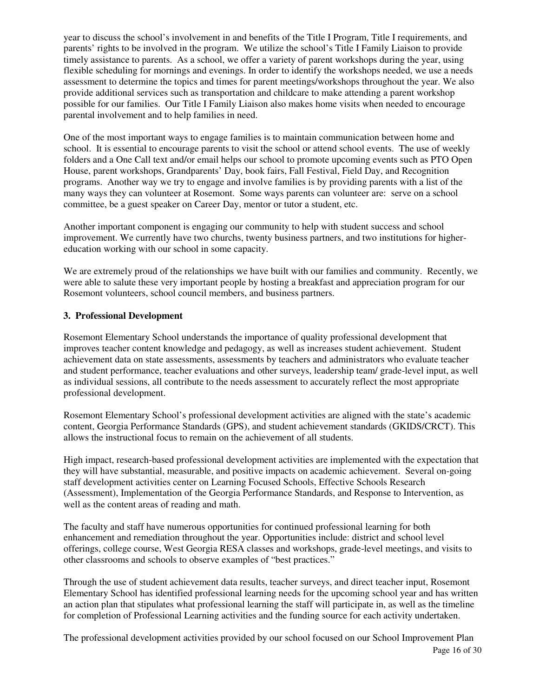year to discuss the school's involvement in and benefits of the Title I Program, Title I requirements, and parents' rights to be involved in the program. We utilize the school's Title I Family Liaison to provide timely assistance to parents. As a school, we offer a variety of parent workshops during the year, using flexible scheduling for mornings and evenings. In order to identify the workshops needed, we use a needs assessment to determine the topics and times for parent meetings/workshops throughout the year. We also provide additional services such as transportation and childcare to make attending a parent workshop possible for our families. Our Title I Family Liaison also makes home visits when needed to encourage parental involvement and to help families in need.

One of the most important ways to engage families is to maintain communication between home and school. It is essential to encourage parents to visit the school or attend school events. The use of weekly folders and a One Call text and/or email helps our school to promote upcoming events such as PTO Open House, parent workshops, Grandparents' Day, book fairs, Fall Festival, Field Day, and Recognition programs. Another way we try to engage and involve families is by providing parents with a list of the many ways they can volunteer at Rosemont. Some ways parents can volunteer are: serve on a school committee, be a guest speaker on Career Day, mentor or tutor a student, etc.

Another important component is engaging our community to help with student success and school improvement. We currently have two churchs, twenty business partners, and two institutions for highereducation working with our school in some capacity.

We are extremely proud of the relationships we have built with our families and community. Recently, we were able to salute these very important people by hosting a breakfast and appreciation program for our Rosemont volunteers, school council members, and business partners.

#### **3. Professional Development**

Rosemont Elementary School understands the importance of quality professional development that improves teacher content knowledge and pedagogy, as well as increases student achievement. Student achievement data on state assessments, assessments by teachers and administrators who evaluate teacher and student performance, teacher evaluations and other surveys, leadership team/ grade-level input, as well as individual sessions, all contribute to the needs assessment to accurately reflect the most appropriate professional development.

Rosemont Elementary School's professional development activities are aligned with the state's academic content, Georgia Performance Standards (GPS), and student achievement standards (GKIDS/CRCT). This allows the instructional focus to remain on the achievement of all students.

High impact, research-based professional development activities are implemented with the expectation that they will have substantial, measurable, and positive impacts on academic achievement. Several on-going staff development activities center on Learning Focused Schools, Effective Schools Research (Assessment), Implementation of the Georgia Performance Standards, and Response to Intervention, as well as the content areas of reading and math.

The faculty and staff have numerous opportunities for continued professional learning for both enhancement and remediation throughout the year. Opportunities include: district and school level offerings, college course, West Georgia RESA classes and workshops, grade-level meetings, and visits to other classrooms and schools to observe examples of "best practices."

Through the use of student achievement data results, teacher surveys, and direct teacher input, Rosemont Elementary School has identified professional learning needs for the upcoming school year and has written an action plan that stipulates what professional learning the staff will participate in, as well as the timeline for completion of Professional Learning activities and the funding source for each activity undertaken.

Page 16 of 30 The professional development activities provided by our school focused on our School Improvement Plan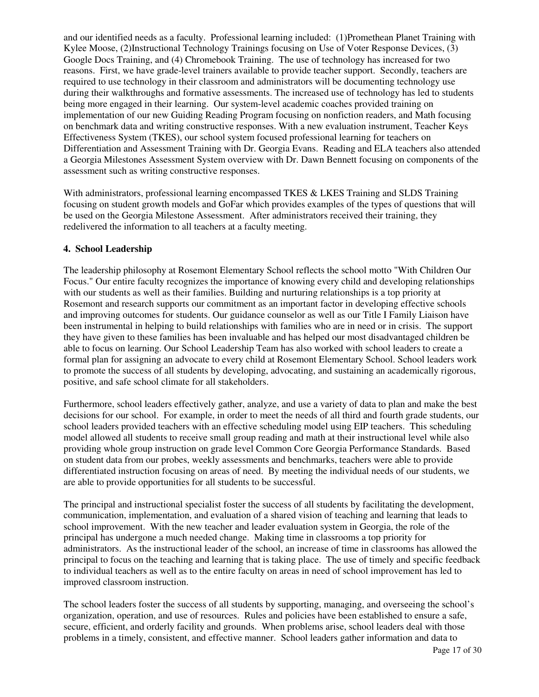and our identified needs as a faculty. Professional learning included: (1)Promethean Planet Training with Kylee Moose, (2)Instructional Technology Trainings focusing on Use of Voter Response Devices, (3) Google Docs Training, and (4) Chromebook Training. The use of technology has increased for two reasons. First, we have grade-level trainers available to provide teacher support. Secondly, teachers are required to use technology in their classroom and administrators will be documenting technology use during their walkthroughs and formative assessments. The increased use of technology has led to students being more engaged in their learning. Our system-level academic coaches provided training on implementation of our new Guiding Reading Program focusing on nonfiction readers, and Math focusing on benchmark data and writing constructive responses. With a new evaluation instrument, Teacher Keys Effectiveness System (TKES), our school system focused professional learning for teachers on Differentiation and Assessment Training with Dr. Georgia Evans. Reading and ELA teachers also attended a Georgia Milestones Assessment System overview with Dr. Dawn Bennett focusing on components of the assessment such as writing constructive responses.

With administrators, professional learning encompassed TKES & LKES Training and SLDS Training focusing on student growth models and GoFar which provides examples of the types of questions that will be used on the Georgia Milestone Assessment. After administrators received their training, they redelivered the information to all teachers at a faculty meeting.

#### **4. School Leadership**

The leadership philosophy at Rosemont Elementary School reflects the school motto "With Children Our Focus." Our entire faculty recognizes the importance of knowing every child and developing relationships with our students as well as their families. Building and nurturing relationships is a top priority at Rosemont and research supports our commitment as an important factor in developing effective schools and improving outcomes for students. Our guidance counselor as well as our Title I Family Liaison have been instrumental in helping to build relationships with families who are in need or in crisis. The support they have given to these families has been invaluable and has helped our most disadvantaged children be able to focus on learning. Our School Leadership Team has also worked with school leaders to create a formal plan for assigning an advocate to every child at Rosemont Elementary School. School leaders work to promote the success of all students by developing, advocating, and sustaining an academically rigorous, positive, and safe school climate for all stakeholders.

Furthermore, school leaders effectively gather, analyze, and use a variety of data to plan and make the best decisions for our school. For example, in order to meet the needs of all third and fourth grade students, our school leaders provided teachers with an effective scheduling model using EIP teachers. This scheduling model allowed all students to receive small group reading and math at their instructional level while also providing whole group instruction on grade level Common Core Georgia Performance Standards. Based on student data from our probes, weekly assessments and benchmarks, teachers were able to provide differentiated instruction focusing on areas of need. By meeting the individual needs of our students, we are able to provide opportunities for all students to be successful.

The principal and instructional specialist foster the success of all students by facilitating the development, communication, implementation, and evaluation of a shared vision of teaching and learning that leads to school improvement. With the new teacher and leader evaluation system in Georgia, the role of the principal has undergone a much needed change. Making time in classrooms a top priority for administrators. As the instructional leader of the school, an increase of time in classrooms has allowed the principal to focus on the teaching and learning that is taking place. The use of timely and specific feedback to individual teachers as well as to the entire faculty on areas in need of school improvement has led to improved classroom instruction.

The school leaders foster the success of all students by supporting, managing, and overseeing the school's organization, operation, and use of resources. Rules and policies have been established to ensure a safe, secure, efficient, and orderly facility and grounds. When problems arise, school leaders deal with those problems in a timely, consistent, and effective manner. School leaders gather information and data to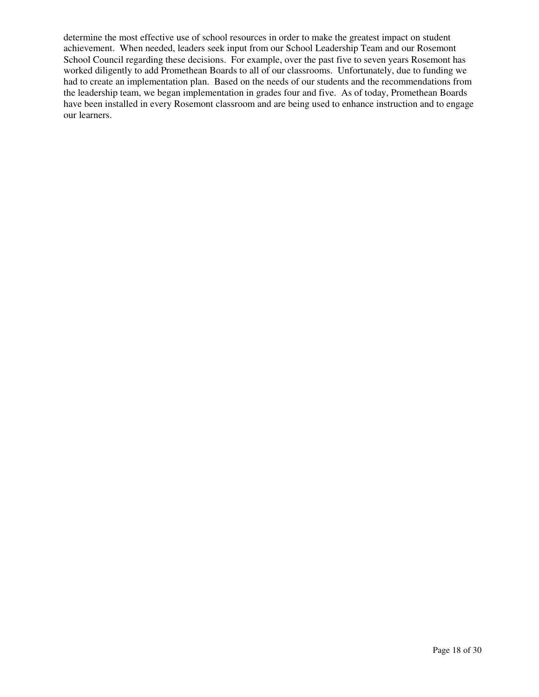determine the most effective use of school resources in order to make the greatest impact on student achievement. When needed, leaders seek input from our School Leadership Team and our Rosemont School Council regarding these decisions. For example, over the past five to seven years Rosemont has worked diligently to add Promethean Boards to all of our classrooms. Unfortunately, due to funding we had to create an implementation plan. Based on the needs of our students and the recommendations from the leadership team, we began implementation in grades four and five. As of today, Promethean Boards have been installed in every Rosemont classroom and are being used to enhance instruction and to engage our learners.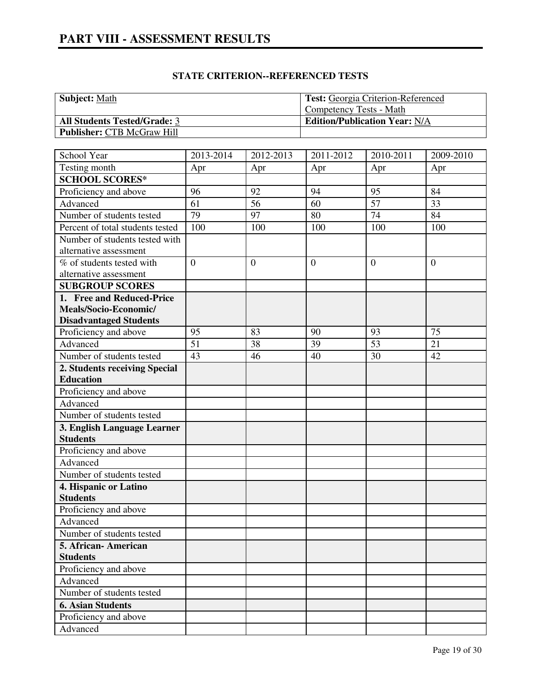| <b>Subject:</b> Math                | <b>Test: Georgia Criterion-Referenced</b> |
|-------------------------------------|-------------------------------------------|
|                                     | Competency Tests - Math                   |
| <b>All Students Tested/Grade: 3</b> | <b>Edition/Publication Year: N/A</b>      |
| <b>Publisher: CTB McGraw Hill</b>   |                                           |

| School Year                              | 2013-2014      | 2012-2013        | 2011-2012      | 2010-2011        | 2009-2010    |
|------------------------------------------|----------------|------------------|----------------|------------------|--------------|
| Testing month                            | Apr            | Apr              | Apr            | Apr              | Apr          |
| <b>SCHOOL SCORES*</b>                    |                |                  |                |                  |              |
| Proficiency and above                    | 96             | 92               | 94             | 95               | 84           |
| Advanced                                 | 61             | 56               | 60             | 57               | 33           |
| Number of students tested                | 79             | 97               | 80             | 74               | 84           |
| Percent of total students tested         | 100            | 100              | 100            | 100              | 100          |
| Number of students tested with           |                |                  |                |                  |              |
| alternative assessment                   |                |                  |                |                  |              |
| % of students tested with                | $\overline{0}$ | $\boldsymbol{0}$ | $\overline{0}$ | $\boldsymbol{0}$ | $\mathbf{0}$ |
| alternative assessment                   |                |                  |                |                  |              |
| <b>SUBGROUP SCORES</b>                   |                |                  |                |                  |              |
| 1. Free and Reduced-Price                |                |                  |                |                  |              |
| Meals/Socio-Economic/                    |                |                  |                |                  |              |
| <b>Disadvantaged Students</b>            |                |                  |                |                  |              |
| Proficiency and above                    | 95             | 83               | 90             | 93               | 75           |
| Advanced                                 | 51             | 38               | 39             | 53               | 21           |
| Number of students tested                | 43             | 46               | 40             | 30               | 42           |
| 2. Students receiving Special            |                |                  |                |                  |              |
| <b>Education</b>                         |                |                  |                |                  |              |
| Proficiency and above                    |                |                  |                |                  |              |
| Advanced                                 |                |                  |                |                  |              |
| Number of students tested                |                |                  |                |                  |              |
| 3. English Language Learner              |                |                  |                |                  |              |
| <b>Students</b>                          |                |                  |                |                  |              |
| Proficiency and above                    |                |                  |                |                  |              |
| Advanced                                 |                |                  |                |                  |              |
| Number of students tested                |                |                  |                |                  |              |
| 4. Hispanic or Latino                    |                |                  |                |                  |              |
| <b>Students</b>                          |                |                  |                |                  |              |
| Proficiency and above<br>Advanced        |                |                  |                |                  |              |
|                                          |                |                  |                |                  |              |
| Number of students tested                |                |                  |                |                  |              |
| 5. African- American                     |                |                  |                |                  |              |
| <b>Students</b><br>Proficiency and above |                |                  |                |                  |              |
| Advanced                                 |                |                  |                |                  |              |
| Number of students tested                |                |                  |                |                  |              |
| <b>6. Asian Students</b>                 |                |                  |                |                  |              |
| Proficiency and above                    |                |                  |                |                  |              |
| Advanced                                 |                |                  |                |                  |              |
|                                          |                |                  |                |                  |              |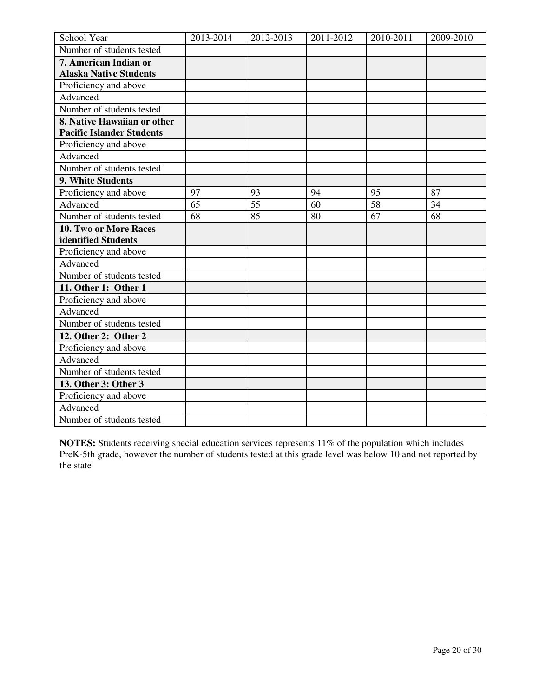| School Year                                                     | 2013-2014 | 2012-2013 | 2011-2012 | 2010-2011 | 2009-2010 |
|-----------------------------------------------------------------|-----------|-----------|-----------|-----------|-----------|
| Number of students tested                                       |           |           |           |           |           |
| 7. American Indian or                                           |           |           |           |           |           |
| <b>Alaska Native Students</b>                                   |           |           |           |           |           |
| Proficiency and above                                           |           |           |           |           |           |
| Advanced                                                        |           |           |           |           |           |
| Number of students tested                                       |           |           |           |           |           |
| 8. Native Hawaiian or other<br><b>Pacific Islander Students</b> |           |           |           |           |           |
| Proficiency and above                                           |           |           |           |           |           |
| Advanced                                                        |           |           |           |           |           |
| Number of students tested                                       |           |           |           |           |           |
| 9. White Students                                               |           |           |           |           |           |
| Proficiency and above                                           | 97        | 93        | 94        | 95        | 87        |
| Advanced                                                        | 65        | 55        | 60        | 58        | 34        |
| Number of students tested                                       | 68        | 85        | 80        | 67        | 68        |
| 10. Two or More Races                                           |           |           |           |           |           |
| identified Students                                             |           |           |           |           |           |
| Proficiency and above                                           |           |           |           |           |           |
| Advanced                                                        |           |           |           |           |           |
| Number of students tested                                       |           |           |           |           |           |
| 11. Other 1: Other 1                                            |           |           |           |           |           |
| Proficiency and above                                           |           |           |           |           |           |
| Advanced                                                        |           |           |           |           |           |
| Number of students tested                                       |           |           |           |           |           |
| 12. Other 2: Other 2                                            |           |           |           |           |           |
| Proficiency and above                                           |           |           |           |           |           |
| Advanced                                                        |           |           |           |           |           |
| Number of students tested                                       |           |           |           |           |           |
| 13. Other 3: Other 3                                            |           |           |           |           |           |
| Proficiency and above                                           |           |           |           |           |           |
| Advanced                                                        |           |           |           |           |           |
| Number of students tested                                       |           |           |           |           |           |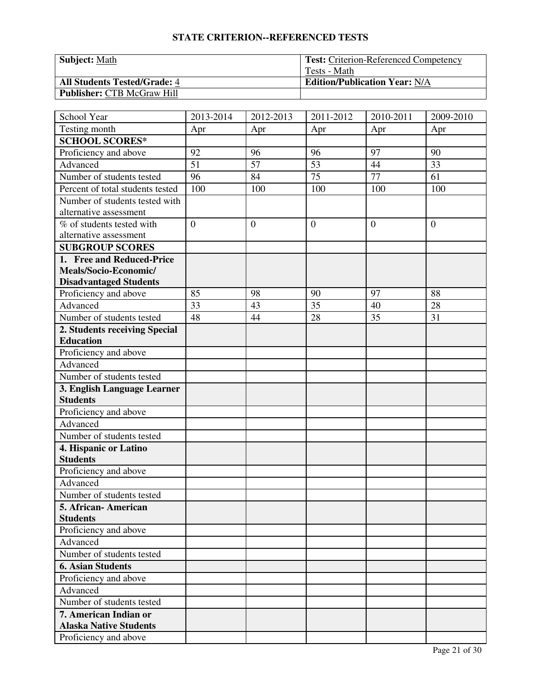| <b>Subject: Math</b>                | <b>Test: Criterion-Referenced Competency</b> |
|-------------------------------------|----------------------------------------------|
|                                     | Tests - Math                                 |
| <b>All Students Tested/Grade: 4</b> | <b>Edition/Publication Year: N/A</b>         |
| <b>Publisher: CTB McGraw Hill</b>   |                                              |

| School Year                                              | 2013-2014      | 2012-2013 | 2011-2012      | 2010-2011      | 2009-2010    |
|----------------------------------------------------------|----------------|-----------|----------------|----------------|--------------|
| Testing month                                            | Apr            | Apr       | Apr            | Apr            | Apr          |
| <b>SCHOOL SCORES*</b>                                    |                |           |                |                |              |
| Proficiency and above                                    | 92             | 96        | 96             | 97             | 90           |
| Advanced                                                 | 51             | 57        | 53             | 44             | 33           |
| Number of students tested                                | 96             | 84        | 75             | 77             | 61           |
| Percent of total students tested                         | 100            | 100       | 100            | 100            | 100          |
| Number of students tested with<br>alternative assessment |                |           |                |                |              |
| % of students tested with<br>alternative assessment      | $\overline{0}$ | $\theta$  | $\overline{0}$ | $\overline{0}$ | $\mathbf{0}$ |
| <b>SUBGROUP SCORES</b>                                   |                |           |                |                |              |
| 1. Free and Reduced-Price                                |                |           |                |                |              |
| Meals/Socio-Economic/<br><b>Disadvantaged Students</b>   |                |           |                |                |              |
| Proficiency and above                                    | 85             | 98        | 90             | 97             | 88           |
| Advanced                                                 | 33             | 43        | 35             | 40             | 28           |
| Number of students tested                                | 48             | 44        | 28             | 35             | 31           |
| 2. Students receiving Special                            |                |           |                |                |              |
| <b>Education</b>                                         |                |           |                |                |              |
| Proficiency and above                                    |                |           |                |                |              |
| Advanced                                                 |                |           |                |                |              |
| Number of students tested                                |                |           |                |                |              |
| 3. English Language Learner                              |                |           |                |                |              |
| <b>Students</b>                                          |                |           |                |                |              |
| Proficiency and above                                    |                |           |                |                |              |
| Advanced                                                 |                |           |                |                |              |
| Number of students tested                                |                |           |                |                |              |
| 4. Hispanic or Latino<br><b>Students</b>                 |                |           |                |                |              |
| Proficiency and above                                    |                |           |                |                |              |
| Advanced                                                 |                |           |                |                |              |
| Number of students tested                                |                |           |                |                |              |
| 5. African- American                                     |                |           |                |                |              |
| <b>Students</b>                                          |                |           |                |                |              |
| Proficiency and above                                    |                |           |                |                |              |
| Advanced                                                 |                |           |                |                |              |
| Number of students tested                                |                |           |                |                |              |
| <b>6. Asian Students</b>                                 |                |           |                |                |              |
| Proficiency and above                                    |                |           |                |                |              |
| Advanced                                                 |                |           |                |                |              |
| Number of students tested                                |                |           |                |                |              |
| 7. American Indian or<br><b>Alaska Native Students</b>   |                |           |                |                |              |
| Proficiency and above                                    |                |           |                |                |              |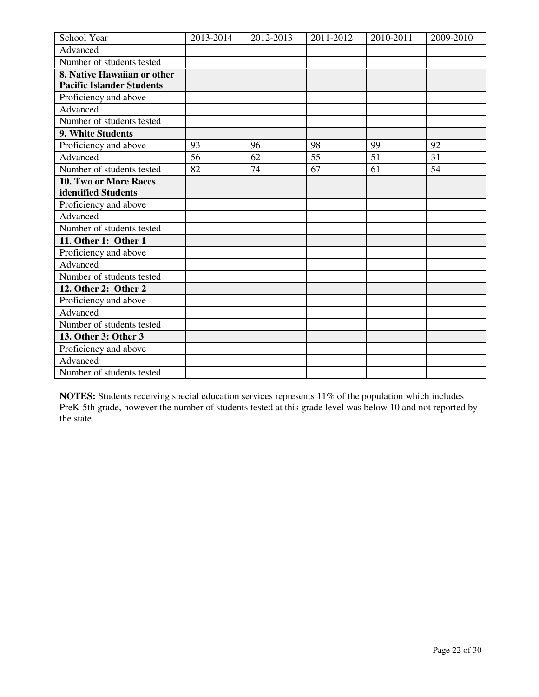| School Year                      | 2013-2014 | 2012-2013 | 2011-2012 | 2010-2011 | 2009-2010 |
|----------------------------------|-----------|-----------|-----------|-----------|-----------|
| Advanced                         |           |           |           |           |           |
| Number of students tested        |           |           |           |           |           |
| 8. Native Hawaiian or other      |           |           |           |           |           |
| <b>Pacific Islander Students</b> |           |           |           |           |           |
| Proficiency and above            |           |           |           |           |           |
| Advanced                         |           |           |           |           |           |
| Number of students tested        |           |           |           |           |           |
| 9. White Students                |           |           |           |           |           |
| Proficiency and above            | 93        | 96        | 98        | 99        | 92        |
| Advanced                         | 56        | 62        | 55        | 51        | 31        |
| Number of students tested        | 82        | 74        | 67        | 61        | 54        |
| 10. Two or More Races            |           |           |           |           |           |
| identified Students              |           |           |           |           |           |
| Proficiency and above            |           |           |           |           |           |
| Advanced                         |           |           |           |           |           |
| Number of students tested        |           |           |           |           |           |
| 11. Other 1: Other 1             |           |           |           |           |           |
| Proficiency and above            |           |           |           |           |           |
| Advanced                         |           |           |           |           |           |
| Number of students tested        |           |           |           |           |           |
| 12. Other 2: Other 2             |           |           |           |           |           |
| Proficiency and above            |           |           |           |           |           |
| Advanced                         |           |           |           |           |           |
| Number of students tested        |           |           |           |           |           |
| 13. Other 3: Other 3             |           |           |           |           |           |
| Proficiency and above            |           |           |           |           |           |
| Advanced                         |           |           |           |           |           |
| Number of students tested        |           |           |           |           |           |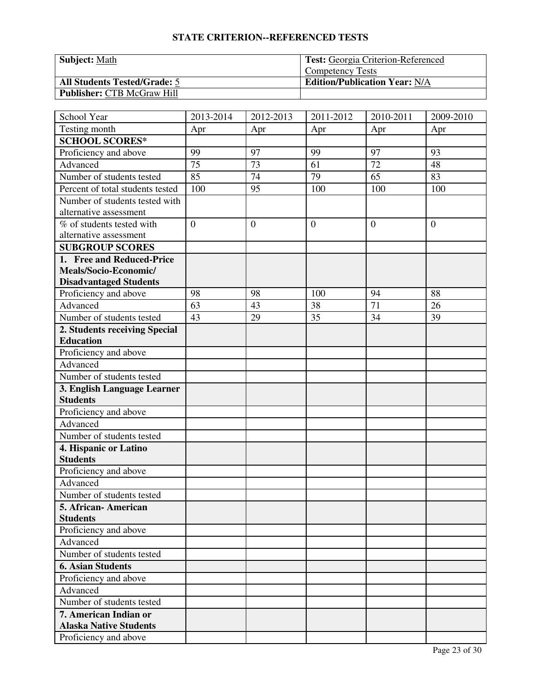| Subject: Math                       | <b>Test:</b> Georgia Criterion-Referenced |
|-------------------------------------|-------------------------------------------|
|                                     | <b>Competency Tests</b>                   |
| <b>All Students Tested/Grade: 5</b> | <b>Edition/Publication Year: N/A</b>      |
| <b>Publisher: CTB McGraw Hill</b>   |                                           |

| School Year                                              | 2013-2014      | 2012-2013      | 2011-2012      | 2010-2011 | 2009-2010      |
|----------------------------------------------------------|----------------|----------------|----------------|-----------|----------------|
| Testing month                                            | Apr            | Apr            | Apr            | Apr       | Apr            |
| <b>SCHOOL SCORES*</b>                                    |                |                |                |           |                |
| Proficiency and above                                    | 99             | 97             | 99             | 97        | 93             |
| Advanced                                                 | 75             | 73             | 61             | 72        | 48             |
| Number of students tested                                | 85             | 74             | 79             | 65        | 83             |
| Percent of total students tested                         | 100            | 95             | 100            | 100       | 100            |
| Number of students tested with<br>alternative assessment |                |                |                |           |                |
| % of students tested with<br>alternative assessment      | $\overline{0}$ | $\overline{0}$ | $\overline{0}$ | $\theta$  | $\overline{0}$ |
| <b>SUBGROUP SCORES</b>                                   |                |                |                |           |                |
| 1. Free and Reduced-Price                                |                |                |                |           |                |
| Meals/Socio-Economic/                                    |                |                |                |           |                |
| <b>Disadvantaged Students</b>                            |                |                |                |           |                |
| Proficiency and above                                    | 98             | 98             | 100            | 94        | 88             |
| Advanced                                                 | 63             | 43             | 38             | 71        | 26             |
| Number of students tested                                | 43             | 29             | 35             | 34        | 39             |
| 2. Students receiving Special                            |                |                |                |           |                |
| <b>Education</b>                                         |                |                |                |           |                |
| Proficiency and above                                    |                |                |                |           |                |
| Advanced                                                 |                |                |                |           |                |
| Number of students tested                                |                |                |                |           |                |
| 3. English Language Learner                              |                |                |                |           |                |
| <b>Students</b>                                          |                |                |                |           |                |
| Proficiency and above                                    |                |                |                |           |                |
| Advanced                                                 |                |                |                |           |                |
| Number of students tested                                |                |                |                |           |                |
| 4. Hispanic or Latino<br><b>Students</b>                 |                |                |                |           |                |
| Proficiency and above                                    |                |                |                |           |                |
| Advanced                                                 |                |                |                |           |                |
| Number of students tested                                |                |                |                |           |                |
| 5. African- American                                     |                |                |                |           |                |
| <b>Students</b>                                          |                |                |                |           |                |
| Proficiency and above                                    |                |                |                |           |                |
| Advanced                                                 |                |                |                |           |                |
| Number of students tested                                |                |                |                |           |                |
| <b>6. Asian Students</b>                                 |                |                |                |           |                |
| Proficiency and above                                    |                |                |                |           |                |
| Advanced                                                 |                |                |                |           |                |
| Number of students tested                                |                |                |                |           |                |
| 7. American Indian or                                    |                |                |                |           |                |
| <b>Alaska Native Students</b>                            |                |                |                |           |                |
| Proficiency and above                                    |                |                |                |           |                |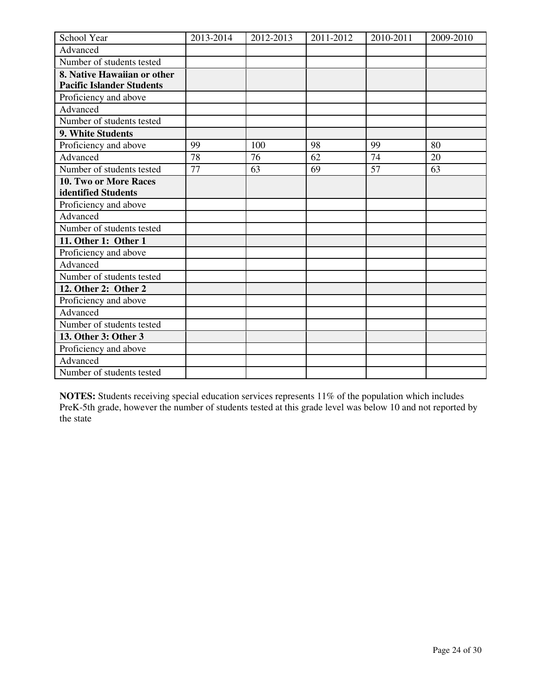| School Year                      | 2013-2014 | 2012-2013 | 2011-2012 | 2010-2011       | 2009-2010 |
|----------------------------------|-----------|-----------|-----------|-----------------|-----------|
| Advanced                         |           |           |           |                 |           |
| Number of students tested        |           |           |           |                 |           |
| 8. Native Hawaiian or other      |           |           |           |                 |           |
| <b>Pacific Islander Students</b> |           |           |           |                 |           |
| Proficiency and above            |           |           |           |                 |           |
| Advanced                         |           |           |           |                 |           |
| Number of students tested        |           |           |           |                 |           |
| 9. White Students                |           |           |           |                 |           |
| Proficiency and above            | 99        | 100       | 98        | 99              | 80        |
| Advanced                         | 78        | 76        | 62        | $\overline{74}$ | 20        |
| Number of students tested        | 77        | 63        | 69        | 57              | 63        |
| 10. Two or More Races            |           |           |           |                 |           |
| identified Students              |           |           |           |                 |           |
| Proficiency and above            |           |           |           |                 |           |
| Advanced                         |           |           |           |                 |           |
| Number of students tested        |           |           |           |                 |           |
| 11. Other 1: Other 1             |           |           |           |                 |           |
| Proficiency and above            |           |           |           |                 |           |
| Advanced                         |           |           |           |                 |           |
| Number of students tested        |           |           |           |                 |           |
| 12. Other 2: Other 2             |           |           |           |                 |           |
| Proficiency and above            |           |           |           |                 |           |
| Advanced                         |           |           |           |                 |           |
| Number of students tested        |           |           |           |                 |           |
| 13. Other 3: Other 3             |           |           |           |                 |           |
| Proficiency and above            |           |           |           |                 |           |
| Advanced                         |           |           |           |                 |           |
| Number of students tested        |           |           |           |                 |           |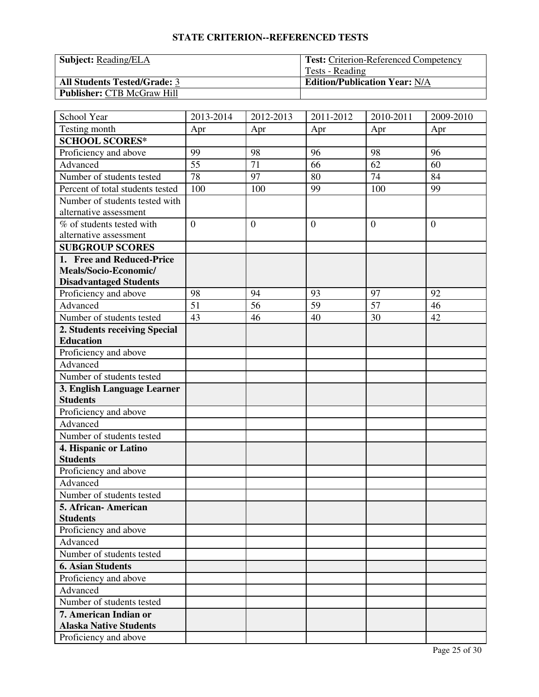| <b>Subject:</b> Reading/ELA         | <b>Test:</b> Criterion-Referenced Competency |
|-------------------------------------|----------------------------------------------|
|                                     | Tests - Reading                              |
| <b>All Students Tested/Grade: 3</b> | <b>Edition/Publication Year: N/A</b>         |
| <b>Publisher: CTB McGraw Hill</b>   |                                              |

| School Year                      | 2013-2014      | 2012-2013      | 2011-2012      | 2010-2011 | 2009-2010      |
|----------------------------------|----------------|----------------|----------------|-----------|----------------|
| Testing month                    | Apr            | Apr            | Apr            | Apr       | Apr            |
| <b>SCHOOL SCORES*</b>            |                |                |                |           |                |
| Proficiency and above            | 99             | 98             | 96             | 98        | 96             |
| Advanced                         | 55             | 71             | 66             | 62        | 60             |
| Number of students tested        | 78             | 97             | 80             | 74        | 84             |
| Percent of total students tested | 100            | 100            | 99             | 100       | 99             |
| Number of students tested with   |                |                |                |           |                |
| alternative assessment           |                |                |                |           |                |
| % of students tested with        | $\overline{0}$ | $\overline{0}$ | $\overline{0}$ | $\theta$  | $\overline{0}$ |
| alternative assessment           |                |                |                |           |                |
| <b>SUBGROUP SCORES</b>           |                |                |                |           |                |
| 1. Free and Reduced-Price        |                |                |                |           |                |
| Meals/Socio-Economic/            |                |                |                |           |                |
| <b>Disadvantaged Students</b>    |                |                |                |           |                |
| Proficiency and above            | 98             | 94             | 93             | 97        | 92             |
| Advanced                         | 51             | 56             | 59             | 57        | 46             |
| Number of students tested        | 43             | 46             | 40             | 30        | 42             |
| 2. Students receiving Special    |                |                |                |           |                |
| <b>Education</b>                 |                |                |                |           |                |
| Proficiency and above            |                |                |                |           |                |
| Advanced                         |                |                |                |           |                |
| Number of students tested        |                |                |                |           |                |
| 3. English Language Learner      |                |                |                |           |                |
| <b>Students</b>                  |                |                |                |           |                |
| Proficiency and above            |                |                |                |           |                |
| Advanced                         |                |                |                |           |                |
| Number of students tested        |                |                |                |           |                |
| 4. Hispanic or Latino            |                |                |                |           |                |
| <b>Students</b>                  |                |                |                |           |                |
| Proficiency and above            |                |                |                |           |                |
| Advanced                         |                |                |                |           |                |
| Number of students tested        |                |                |                |           |                |
| 5. African-American              |                |                |                |           |                |
| <b>Students</b>                  |                |                |                |           |                |
| Proficiency and above            |                |                |                |           |                |
| Advanced                         |                |                |                |           |                |
| Number of students tested        |                |                |                |           |                |
| <b>6. Asian Students</b>         |                |                |                |           |                |
| Proficiency and above            |                |                |                |           |                |
| Advanced                         |                |                |                |           |                |
| Number of students tested        |                |                |                |           |                |
| 7. American Indian or            |                |                |                |           |                |
| <b>Alaska Native Students</b>    |                |                |                |           |                |
| Proficiency and above            |                |                |                |           |                |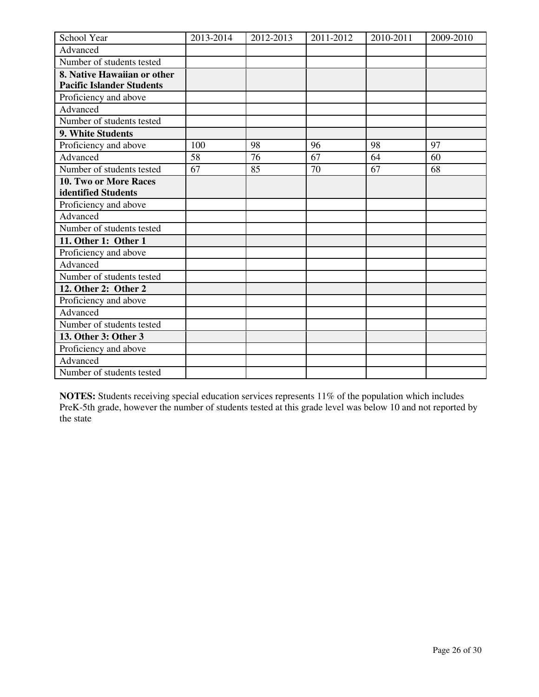| School Year                      | 2013-2014 | 2012-2013 | 2011-2012 | 2010-2011 | 2009-2010 |
|----------------------------------|-----------|-----------|-----------|-----------|-----------|
| Advanced                         |           |           |           |           |           |
| Number of students tested        |           |           |           |           |           |
| 8. Native Hawaiian or other      |           |           |           |           |           |
| <b>Pacific Islander Students</b> |           |           |           |           |           |
| Proficiency and above            |           |           |           |           |           |
| Advanced                         |           |           |           |           |           |
| Number of students tested        |           |           |           |           |           |
| 9. White Students                |           |           |           |           |           |
| Proficiency and above            | 100       | 98        | 96        | 98        | 97        |
| Advanced                         | 58        | 76        | 67        | 64        | 60        |
| Number of students tested        | 67        | 85        | 70        | 67        | 68        |
| 10. Two or More Races            |           |           |           |           |           |
| identified Students              |           |           |           |           |           |
| Proficiency and above            |           |           |           |           |           |
| Advanced                         |           |           |           |           |           |
| Number of students tested        |           |           |           |           |           |
| 11. Other 1: Other 1             |           |           |           |           |           |
| Proficiency and above            |           |           |           |           |           |
| Advanced                         |           |           |           |           |           |
| Number of students tested        |           |           |           |           |           |
| 12. Other 2: Other 2             |           |           |           |           |           |
| Proficiency and above            |           |           |           |           |           |
| Advanced                         |           |           |           |           |           |
| Number of students tested        |           |           |           |           |           |
| 13. Other 3: Other 3             |           |           |           |           |           |
| Proficiency and above            |           |           |           |           |           |
| Advanced                         |           |           |           |           |           |
| Number of students tested        |           |           |           |           |           |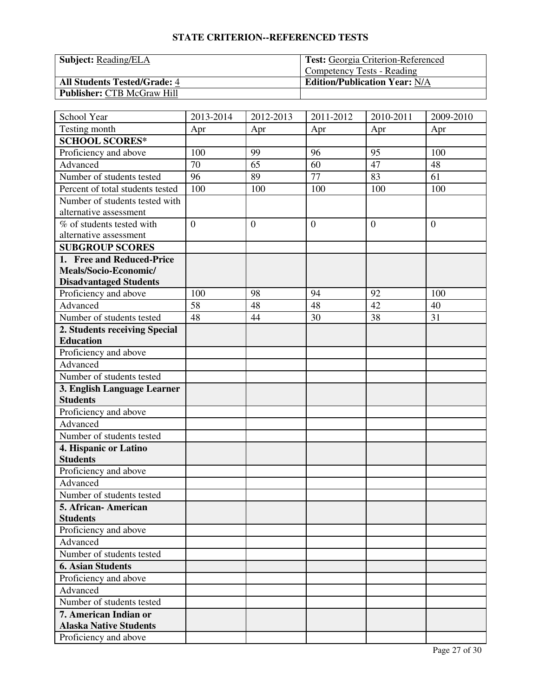| <b>Subject:</b> Reading/ELA         | <b>Test:</b> Georgia Criterion-Referenced |
|-------------------------------------|-------------------------------------------|
|                                     | Competency Tests - Reading                |
| <b>All Students Tested/Grade: 4</b> | <b>Edition/Publication Year: N/A</b>      |
| <b>Publisher: CTB McGraw Hill</b>   |                                           |

| School Year                      | 2013-2014      | 2012-2013    | 2011-2012        | 2010-2011 | 2009-2010      |
|----------------------------------|----------------|--------------|------------------|-----------|----------------|
| Testing month                    | Apr            | Apr          | Apr              | Apr       | Apr            |
| <b>SCHOOL SCORES*</b>            |                |              |                  |           |                |
| Proficiency and above            | 100            | 99           | 96               | 95        | 100            |
| Advanced                         | 70             | 65           | 60               | 47        | 48             |
| Number of students tested        | 96             | 89           | 77               | 83        | 61             |
| Percent of total students tested | 100            | 100          | 100              | 100       | 100            |
| Number of students tested with   |                |              |                  |           |                |
| alternative assessment           |                |              |                  |           |                |
| % of students tested with        | $\overline{0}$ | $\mathbf{0}$ | $\boldsymbol{0}$ | $\theta$  | $\overline{0}$ |
| alternative assessment           |                |              |                  |           |                |
| <b>SUBGROUP SCORES</b>           |                |              |                  |           |                |
| 1. Free and Reduced-Price        |                |              |                  |           |                |
| Meals/Socio-Economic/            |                |              |                  |           |                |
| <b>Disadvantaged Students</b>    |                |              |                  |           |                |
| Proficiency and above            | 100            | 98           | 94               | 92        | 100            |
| Advanced                         | 58             | 48           | 48               | 42        | 40             |
| Number of students tested        | 48             | 44           | 30               | 38        | 31             |
| 2. Students receiving Special    |                |              |                  |           |                |
| <b>Education</b>                 |                |              |                  |           |                |
| Proficiency and above            |                |              |                  |           |                |
| Advanced                         |                |              |                  |           |                |
| Number of students tested        |                |              |                  |           |                |
| 3. English Language Learner      |                |              |                  |           |                |
| <b>Students</b>                  |                |              |                  |           |                |
| Proficiency and above            |                |              |                  |           |                |
| Advanced                         |                |              |                  |           |                |
| Number of students tested        |                |              |                  |           |                |
| 4. Hispanic or Latino            |                |              |                  |           |                |
| <b>Students</b>                  |                |              |                  |           |                |
| Proficiency and above            |                |              |                  |           |                |
| Advanced                         |                |              |                  |           |                |
| Number of students tested        |                |              |                  |           |                |
| 5. African - American            |                |              |                  |           |                |
| <b>Students</b>                  |                |              |                  |           |                |
| Proficiency and above            |                |              |                  |           |                |
| Advanced                         |                |              |                  |           |                |
| Number of students tested        |                |              |                  |           |                |
| <b>6. Asian Students</b>         |                |              |                  |           |                |
| Proficiency and above            |                |              |                  |           |                |
| Advanced                         |                |              |                  |           |                |
| Number of students tested        |                |              |                  |           |                |
| 7. American Indian or            |                |              |                  |           |                |
| <b>Alaska Native Students</b>    |                |              |                  |           |                |
| Proficiency and above            |                |              |                  |           |                |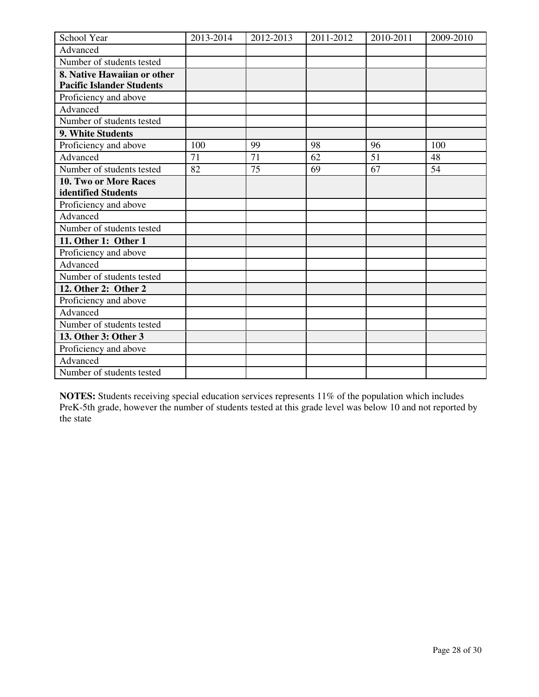| School Year                      | 2013-2014 | 2012-2013 | 2011-2012 | 2010-2011 | 2009-2010 |
|----------------------------------|-----------|-----------|-----------|-----------|-----------|
| Advanced                         |           |           |           |           |           |
| Number of students tested        |           |           |           |           |           |
| 8. Native Hawaiian or other      |           |           |           |           |           |
| <b>Pacific Islander Students</b> |           |           |           |           |           |
| Proficiency and above            |           |           |           |           |           |
| Advanced                         |           |           |           |           |           |
| Number of students tested        |           |           |           |           |           |
| 9. White Students                |           |           |           |           |           |
| Proficiency and above            | 100       | 99        | 98        | 96        | 100       |
| Advanced                         | 71        | 71        | 62        | 51        | 48        |
| Number of students tested        | 82        | 75        | 69        | 67        | 54        |
| 10. Two or More Races            |           |           |           |           |           |
| identified Students              |           |           |           |           |           |
| Proficiency and above            |           |           |           |           |           |
| Advanced                         |           |           |           |           |           |
| Number of students tested        |           |           |           |           |           |
| 11. Other 1: Other 1             |           |           |           |           |           |
| Proficiency and above            |           |           |           |           |           |
| Advanced                         |           |           |           |           |           |
| Number of students tested        |           |           |           |           |           |
| 12. Other 2: Other 2             |           |           |           |           |           |
| Proficiency and above            |           |           |           |           |           |
| Advanced                         |           |           |           |           |           |
| Number of students tested        |           |           |           |           |           |
| 13. Other 3: Other 3             |           |           |           |           |           |
| Proficiency and above            |           |           |           |           |           |
| Advanced                         |           |           |           |           |           |
| Number of students tested        |           |           |           |           |           |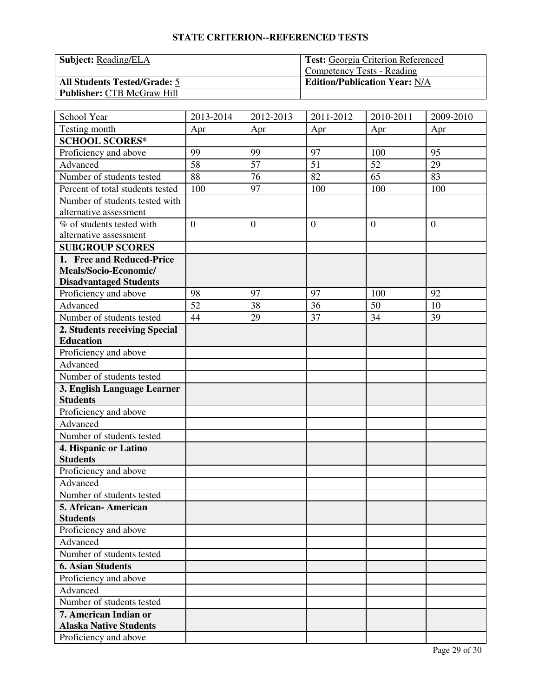| <b>Subject:</b> Reading/ELA         | <b>Test:</b> Georgia Criterion Referenced |
|-------------------------------------|-------------------------------------------|
|                                     | <b>Competency Tests - Reading</b>         |
| <b>All Students Tested/Grade: 5</b> | <b>Edition/Publication Year: N/A</b>      |
| <b>Publisher: CTB McGraw Hill</b>   |                                           |

| School Year                              | 2013-2014      | 2012-2013 | 2011-2012      | 2010-2011 | 2009-2010      |
|------------------------------------------|----------------|-----------|----------------|-----------|----------------|
| Testing month                            | Apr            | Apr       | Apr            | Apr       | Apr            |
| <b>SCHOOL SCORES*</b>                    |                |           |                |           |                |
| Proficiency and above                    | 99             | 99        | 97             | 100       | 95             |
| Advanced                                 | 58             | 57        | 51             | 52        | 29             |
| Number of students tested                | 88             | 76        | 82             | 65        | 83             |
| Percent of total students tested         | 100            | 97        | 100            | 100       | 100            |
| Number of students tested with           |                |           |                |           |                |
| alternative assessment                   |                |           |                |           |                |
| % of students tested with                | $\overline{0}$ | $\theta$  | $\overline{0}$ | $\theta$  | $\overline{0}$ |
| alternative assessment                   |                |           |                |           |                |
| <b>SUBGROUP SCORES</b>                   |                |           |                |           |                |
| 1. Free and Reduced-Price                |                |           |                |           |                |
| Meals/Socio-Economic/                    |                |           |                |           |                |
| <b>Disadvantaged Students</b>            |                |           |                |           |                |
| Proficiency and above                    | 98             | 97        | 97             | 100       | 92             |
| Advanced                                 | 52             | 38        | 36             | 50        | 10             |
| Number of students tested                | 44             | 29        | 37             | 34        | 39             |
| 2. Students receiving Special            |                |           |                |           |                |
| <b>Education</b>                         |                |           |                |           |                |
| Proficiency and above                    |                |           |                |           |                |
| Advanced                                 |                |           |                |           |                |
| Number of students tested                |                |           |                |           |                |
| 3. English Language Learner              |                |           |                |           |                |
| <b>Students</b>                          |                |           |                |           |                |
| Proficiency and above                    |                |           |                |           |                |
| Advanced                                 |                |           |                |           |                |
| Number of students tested                |                |           |                |           |                |
| 4. Hispanic or Latino                    |                |           |                |           |                |
| <b>Students</b>                          |                |           |                |           |                |
| Proficiency and above                    |                |           |                |           |                |
| Advanced                                 |                |           |                |           |                |
| Number of students tested                |                |           |                |           |                |
| 5. African- American                     |                |           |                |           |                |
| <b>Students</b><br>Proficiency and above |                |           |                |           |                |
|                                          |                |           |                |           |                |
| Advanced                                 |                |           |                |           |                |
| Number of students tested                |                |           |                |           |                |
| <b>6. Asian Students</b>                 |                |           |                |           |                |
| Proficiency and above                    |                |           |                |           |                |
| Advanced                                 |                |           |                |           |                |
| Number of students tested                |                |           |                |           |                |
| 7. American Indian or                    |                |           |                |           |                |
| <b>Alaska Native Students</b>            |                |           |                |           |                |
| Proficiency and above                    |                |           |                |           |                |